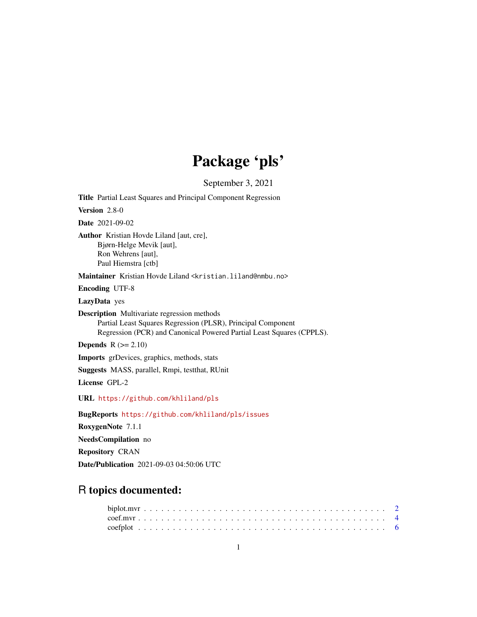## Package 'pls'

September 3, 2021

<span id="page-0-0"></span>Title Partial Least Squares and Principal Component Regression Version 2.8-0 Date 2021-09-02 Author Kristian Hovde Liland [aut, cre], Bjørn-Helge Mevik [aut], Ron Wehrens [aut], Paul Hiemstra [ctb] Maintainer Kristian Hovde Liland <kristian.liland@nmbu.no> Encoding UTF-8 LazyData yes Description Multivariate regression methods Partial Least Squares Regression (PLSR), Principal Component Regression (PCR) and Canonical Powered Partial Least Squares (CPPLS). **Depends**  $R$  ( $>= 2.10$ ) Imports grDevices, graphics, methods, stats Suggests MASS, parallel, Rmpi, testthat, RUnit License GPL-2 URL <https://github.com/khliland/pls> BugReports <https://github.com/khliland/pls/issues> RoxygenNote 7.1.1 NeedsCompilation no Repository CRAN Date/Publication 2021-09-03 04:50:06 UTC

## R topics documented: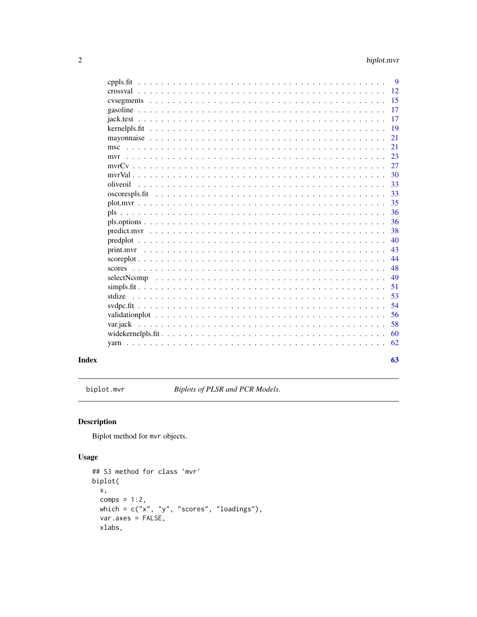<span id="page-1-0"></span>

| cppls.fit                                                                                                              | 9  |
|------------------------------------------------------------------------------------------------------------------------|----|
|                                                                                                                        | 12 |
|                                                                                                                        | 15 |
|                                                                                                                        | 17 |
|                                                                                                                        | 17 |
|                                                                                                                        | 19 |
|                                                                                                                        | 21 |
| msc                                                                                                                    | 21 |
| mvr                                                                                                                    | 23 |
|                                                                                                                        | 27 |
|                                                                                                                        | 30 |
| oliveoil                                                                                                               | 33 |
| oscorespls.fit                                                                                                         | 33 |
| $plot.mvr$                                                                                                             | 35 |
| pls                                                                                                                    | 36 |
|                                                                                                                        | 36 |
|                                                                                                                        | 38 |
| $predplot \dots \dots \dots \dots \dots \dots \dots \dots \dots \dots \dots \dots \dots \dots \dots \dots \dots \dots$ | 40 |
| print.myr                                                                                                              | 43 |
|                                                                                                                        | 44 |
|                                                                                                                        | 48 |
| selectNcomp                                                                                                            | 49 |
|                                                                                                                        | 51 |
| stdize                                                                                                                 | 53 |
|                                                                                                                        | 54 |
|                                                                                                                        | 56 |
| var.jack                                                                                                               | 58 |
|                                                                                                                        | 60 |
|                                                                                                                        | 62 |
|                                                                                                                        |    |
|                                                                                                                        | 63 |

## **Index**

<span id="page-1-1"></span>biplot.mvr

Biplots of PLSR and PCR Models.

## **Description**

Biplot method for mvr objects.

## **Usage**

```
## S3 method for class 'mvr'
biplot(
 x,
 comps = 1:2,
 which = c("x", "y", "scores", "loading"),varaxes = FALSE,xlabs,
```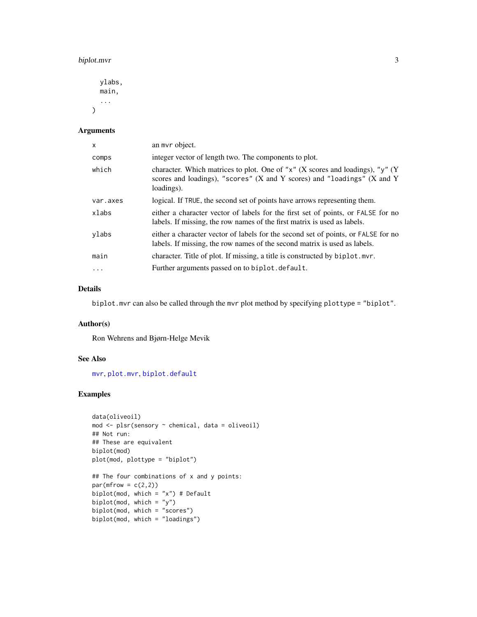## <span id="page-2-0"></span>biplot.mvr 3

ylabs, main, ...  $\mathcal{L}$ 

## Arguments

| X        | an mvr object.                                                                                                                                                                         |
|----------|----------------------------------------------------------------------------------------------------------------------------------------------------------------------------------------|
| comps    | integer vector of length two. The components to plot.                                                                                                                                  |
| which    | character. Which matrices to plot. One of " $x$ " (X scores and loadings), " $y$ " (Y<br>scores and loadings), "scores" $(X$ and $Y$ scores) and "loadings" $(X$ and $Y$<br>loadings). |
| var.axes | logical. If TRUE, the second set of points have arrows representing them.                                                                                                              |
| xlabs    | either a character vector of labels for the first set of points, or FALSE for no<br>labels. If missing, the row names of the first matrix is used as labels.                           |
| ylabs    | either a character vector of labels for the second set of points, or FALSE for no<br>labels. If missing, the row names of the second matrix is used as labels.                         |
| main     | character. Title of plot. If missing, a title is constructed by biplot. mvr.                                                                                                           |
| $\cdots$ | Further arguments passed on to biplot. default.                                                                                                                                        |

## Details

biplot.mvr can also be called through the mvr plot method by specifying plottype = "biplot".

## Author(s)

Ron Wehrens and Bjørn-Helge Mevik

## See Also

[mvr](#page-22-1), [plot.mvr](#page-34-1), [biplot.default](#page-0-0)

## Examples

```
data(oliveoil)
mod <- plsr(sensory ~ chemical, data = oliveoil)
## Not run:
## These are equivalent
biplot(mod)
plot(mod, plottype = "biplot")
## The four combinations of x and y points:
par(mfrow = c(2,2))biplot(mod, which = "x") # Default
biplot(mod, which = "y")
biplot(mod, which = "scores")
biplot(mod, which = "loadings")
```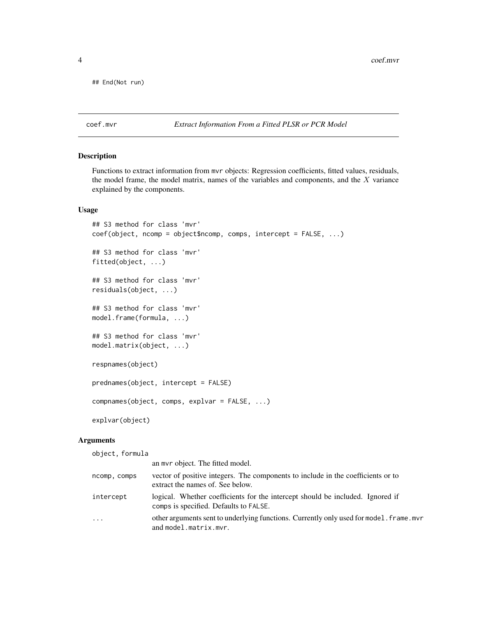<span id="page-3-0"></span>## End(Not run)

<span id="page-3-1"></span>coef.mvr *Extract Information From a Fitted PLSR or PCR Model*

## <span id="page-3-2"></span>Description

Functions to extract information from mvr objects: Regression coefficients, fitted values, residuals, the model frame, the model matrix, names of the variables and components, and the  $X$  variance explained by the components.

## Usage

```
## S3 method for class 'mvr'
coef(object, ncomp = object$ncomp, comps, intercept = FALSE, ...)
## S3 method for class 'mvr'
fitted(object, ...)
## S3 method for class 'mvr'
residuals(object, ...)
## S3 method for class 'mvr'
model.frame(formula, ...)
## S3 method for class 'mvr'
model.matrix(object, ...)
respnames(object)
prednames(object, intercept = FALSE)
compnames(object, comps, explvar = FALSE, ...)
explvar(object)
```
#### Arguments

object, formula

|              | an myr object. The fitted model.                                                                                         |
|--------------|--------------------------------------------------------------------------------------------------------------------------|
| ncomp, comps | vector of positive integers. The components to include in the coefficients or to<br>extract the names of. See below.     |
| intercept    | logical. Whether coefficients for the intercept should be included. Ignored if<br>comps is specified. Defaults to FALSE. |
| .            | other arguments sent to underlying functions. Currently only used for model. frame. mvr<br>and model.matrix.mvr.         |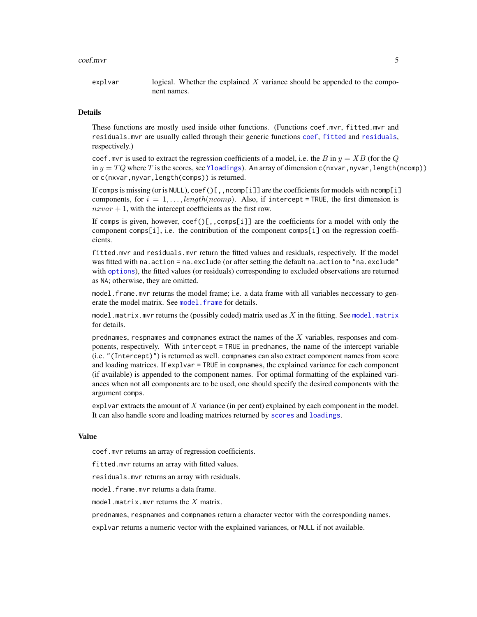#### <span id="page-4-0"></span>coef.mvr 5

explvar logical. Whether the explained  $X$  variance should be appended to the component names.

#### Details

These functions are mostly used inside other functions. (Functions coef.mvr, fitted.mvr and residuals.mvr are usually called through their generic functions [coef](#page-0-0), [fitted](#page-0-0) and [residuals](#page-0-0), respectively.)

coef.mvr is used to extract the regression coefficients of a model, i.e. the B in  $y = XB$  (for the Q in  $y = TQ$  where T is the scores, see [Yloadings](#page-47-1)). An array of dimension c(nxvar,nyvar,length(ncomp)) or c(nxvar, nyvar, length(comps)) is returned.

If comps is missing (or is NULL),  $\text{coef}()$ [, ncomp[i]] are the coefficients for models with ncomp[i] components, for  $i = 1, \ldots$ , length(ncomp). Also, if intercept = TRUE, the first dimension is  $nxvar + 1$ , with the intercept coefficients as the first row.

If comps is given, however,  $\text{coef}()$ [,, $\text{comps}[i]$ ] are the coefficients for a model with only the component comps[i], i.e. the contribution of the component comps[i] on the regression coefficients.

fitted.mvr and residuals.mvr return the fitted values and residuals, respectively. If the model was fitted with na.action = na.exclude (or after setting the default na.action to "na.exclude" with [options](#page-0-0)), the fitted values (or residuals) corresponding to excluded observations are returned as NA; otherwise, they are omitted.

model.frame.mvr returns the model frame; i.e. a data frame with all variables neccessary to generate the model matrix. See model, frame for details.

[model.matrix](#page-0-0).mvr returns the (possibly coded) matrix used as  $X$  in the fitting. See model.matrix for details.

prednames, respnames and compnames extract the names of the  $X$  variables, responses and components, respectively. With intercept = TRUE in prednames, the name of the intercept variable (i.e. "(Intercept)") is returned as well. compnames can also extract component names from score and loading matrices. If explvar = TRUE in compnames, the explained variance for each component (if available) is appended to the component names. For optimal formatting of the explained variances when not all components are to be used, one should specify the desired components with the argument comps.

explvar extracts the amount of  $X$  variance (in per cent) explained by each component in the model. It can also handle score and loading matrices returned by [scores](#page-47-2) and [loadings](#page-47-1).

## Value

coef.mvr returns an array of regression coefficients.

fitted.mvr returns an array with fitted values.

residuals.mvr returns an array with residuals.

model.frame.mvr returns a data frame.

model.matrix.mvr returns the  $X$  matrix.

prednames, respnames and compnames return a character vector with the corresponding names.

explvar returns a numeric vector with the explained variances, or NULL if not available.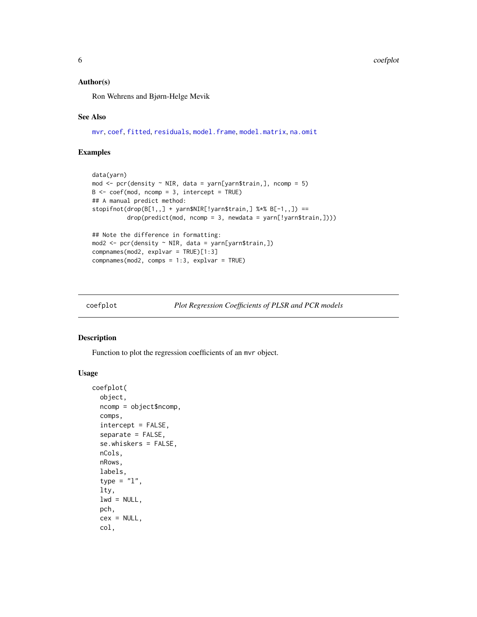#### <span id="page-5-0"></span>Author(s)

Ron Wehrens and Bjørn-Helge Mevik

#### See Also

[mvr](#page-22-1), [coef](#page-0-0), [fitted](#page-0-0), [residuals](#page-0-0), [model.frame](#page-0-0), [model.matrix](#page-0-0), [na.omit](#page-0-0)

## Examples

```
data(yarn)
mod \le pcr(density \le NIR, data = yarn[yarn$train,], ncomp = 5)
B <- coef(mod, ncomp = 3, intercept = TRUE)
## A manual predict method:
stopifnot(drop(B[1,,]+yarn$NIR[!yarn$train,]<math display="inline">% 17(1,0.5) ==
          drop(predict(mod, ncomp = 3, newdata = yarn[!yarn$train,])))
## Note the difference in formatting:
mod2 <- pcr(density ~ NIR, data = yarn[yarn$train,])
compnames(mod2, explvar = TRUE)[1:3]
compnames(mod2, comps = 1:3, explvar = TRUE)
```
<span id="page-5-1"></span>coefplot *Plot Regression Coefficients of PLSR and PCR models*

## Description

Function to plot the regression coefficients of an mvr object.

#### Usage

```
coefplot(
  object,
  ncomp = object$ncomp,
  comps,
  intercept = FALSE,
  separate = FALSE,
  se.whiskers = FALSE,
  nCols,
  nRows,
  labels,
  type = "1",lty,
  lwd = NULL,
  pch,
  cex = NULL,col,
```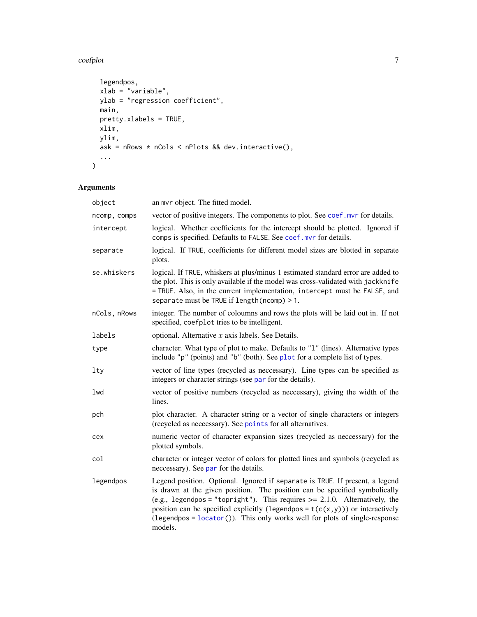#### <span id="page-6-0"></span>coefplot 7

```
legendpos,
 xlab = "variable",
 ylab = "regression coefficient",
 main,
 pretty.xlabels = TRUE,
 xlim,
 ylim,
 ask = nRows * nCols < nPlots && dev.interactive(),
  ...
)
```

| object       | an mvr object. The fitted model.                                                                                                                                                                                                                                                                                                                                                                                              |
|--------------|-------------------------------------------------------------------------------------------------------------------------------------------------------------------------------------------------------------------------------------------------------------------------------------------------------------------------------------------------------------------------------------------------------------------------------|
| ncomp, comps | vector of positive integers. The components to plot. See coef. mvr for details.                                                                                                                                                                                                                                                                                                                                               |
| intercept    | logical. Whether coefficients for the intercept should be plotted. Ignored if<br>comps is specified. Defaults to FALSE. See coef. mvr for details.                                                                                                                                                                                                                                                                            |
| separate     | logical. If TRUE, coefficients for different model sizes are blotted in separate<br>plots.                                                                                                                                                                                                                                                                                                                                    |
| se.whiskers  | logical. If TRUE, whiskers at plus/minus 1 estimated standard error are added to<br>the plot. This is only available if the model was cross-validated with jackknife<br>= TRUE. Also, in the current implementation, intercept must be FALSE, and<br>separate must be TRUE if length (ncomp) > 1.                                                                                                                             |
| nCols, nRows | integer. The number of coloumns and rows the plots will be laid out in. If not<br>specified, coefplot tries to be intelligent.                                                                                                                                                                                                                                                                                                |
| labels       | optional. Alternative $x$ axis labels. See Details.                                                                                                                                                                                                                                                                                                                                                                           |
| type         | character. What type of plot to make. Defaults to "1" (lines). Alternative types<br>include "p" (points) and "b" (both). See plot for a complete list of types.                                                                                                                                                                                                                                                               |
| lty          | vector of line types (recycled as neccessary). Line types can be specified as<br>integers or character strings (see par for the details).                                                                                                                                                                                                                                                                                     |
| lwd          | vector of positive numbers (recycled as neccessary), giving the width of the<br>lines.                                                                                                                                                                                                                                                                                                                                        |
| pch          | plot character. A character string or a vector of single characters or integers<br>(recycled as necessary). See points for all alternatives.                                                                                                                                                                                                                                                                                  |
| cex          | numeric vector of character expansion sizes (recycled as neccessary) for the<br>plotted symbols.                                                                                                                                                                                                                                                                                                                              |
| col          | character or integer vector of colors for plotted lines and symbols (recycled as<br>neccessary). See par for the details.                                                                                                                                                                                                                                                                                                     |
| legendpos    | Legend position. Optional. Ignored if separate is TRUE. If present, a legend<br>is drawn at the given position. The position can be specified symbolically<br>(e.g., legendpos = "topright"). This requires $\ge$ 2.1.0. Alternatively, the<br>position can be specified explicitly (legendpos = $t(c(x, y))$ ) or interactively<br>(legendpos = $location()$ ). This only works well for plots of single-response<br>models. |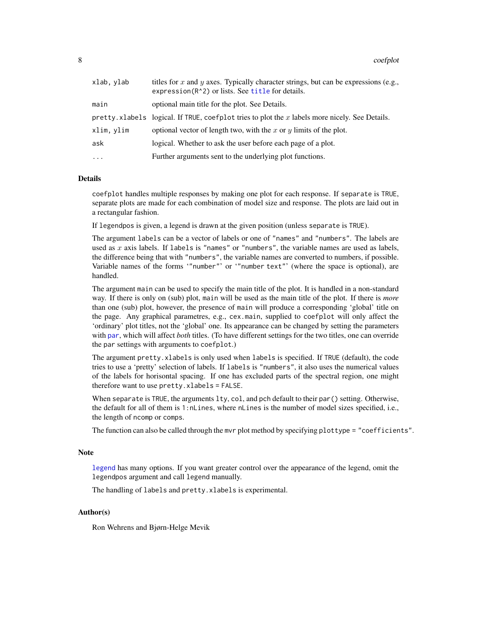<span id="page-7-0"></span>

| xlab, ylab | titles for x and y axes. Typically character strings, but can be expressions (e.g.,<br>expression $(R^2)$ or lists. See title for details. |
|------------|--------------------------------------------------------------------------------------------------------------------------------------------|
| main       | optional main title for the plot. See Details.                                                                                             |
|            | pretty. xlabels logical. If TRUE, coefplot tries to plot the x labels more nicely. See Details.                                            |
| xlim, ylim | optional vector of length two, with the x or y limits of the plot.                                                                         |
| ask        | logical. Whether to ask the user before each page of a plot.                                                                               |
| $\cdots$   | Further arguments sent to the underlying plot functions.                                                                                   |
|            |                                                                                                                                            |

#### Details

coefplot handles multiple responses by making one plot for each response. If separate is TRUE, separate plots are made for each combination of model size and response. The plots are laid out in a rectangular fashion.

If legendpos is given, a legend is drawn at the given position (unless separate is TRUE).

The argument labels can be a vector of labels or one of "names" and "numbers". The labels are used as  $x$  axis labels. If labels is "names" or "numbers", the variable names are used as labels, the difference being that with "numbers", the variable names are converted to numbers, if possible. Variable names of the forms '"number"' or '"number text"' (where the space is optional), are handled.

The argument main can be used to specify the main title of the plot. It is handled in a non-standard way. If there is only on (sub) plot, main will be used as the main title of the plot. If there is *more* than one (sub) plot, however, the presence of main will produce a corresponding 'global' title on the page. Any graphical parametres, e.g., cex.main, supplied to coefplot will only affect the 'ordinary' plot titles, not the 'global' one. Its appearance can be changed by setting the parameters with [par](#page-0-0), which will affect *both* titles. (To have different settings for the two titles, one can override the par settings with arguments to coefplot.)

The argument pretty.xlabels is only used when labels is specified. If TRUE (default), the code tries to use a 'pretty' selection of labels. If labels is "numbers", it also uses the numerical values of the labels for horisontal spacing. If one has excluded parts of the spectral region, one might therefore want to use pretty.xlabels = FALSE.

When separate is TRUE, the arguments lty, col, and pch default to their par() setting. Otherwise, the default for all of them is 1:nLines, where nLines is the number of model sizes specified, i.e., the length of ncomp or comps.

The function can also be called through the mvr plot method by specifying plottype = "coefficients".

#### **Note**

[legend](#page-0-0) has many options. If you want greater control over the appearance of the legend, omit the legendpos argument and call legend manually.

The handling of labels and pretty.xlabels is experimental.

## Author(s)

Ron Wehrens and Bjørn-Helge Mevik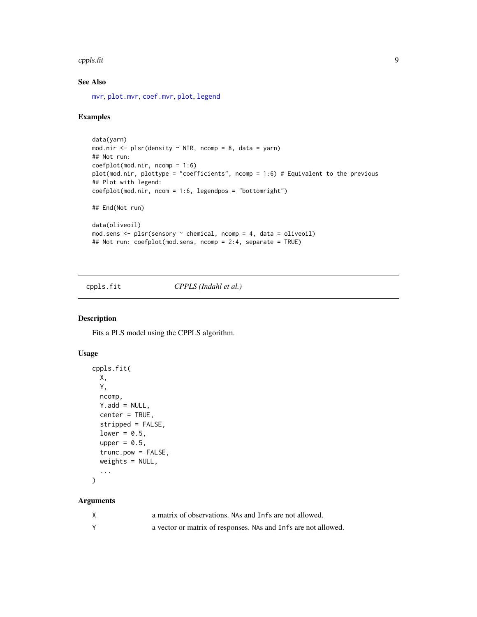#### <span id="page-8-0"></span>cppls.fit 9

## See Also

[mvr](#page-22-1), [plot.mvr](#page-34-1), [coef.mvr](#page-3-1), [plot](#page-0-0), [legend](#page-0-0)

#### Examples

```
data(yarn)
mod.nir <- plsr(density \sim NIR, ncomp = 8, data = yarn)
## Not run:
coefplot(mod.nir, ncomp = 1:6)
plot(mod.nir, plottype = "coefficients", ncomp = 1:6) # Equivalent to the previous
## Plot with legend:
coefplot(mod.nir, ncom = 1:6, legendpos = "bottomright")
## End(Not run)
data(oliveoil)
mod.sens <- plsr(sensory ~ chemical, ncomp = 4, data = oliveoil)
## Not run: coefplot(mod.sens, ncomp = 2:4, separate = TRUE)
```
<span id="page-8-1"></span>cppls.fit *CPPLS (Indahl et al.)*

## Description

Fits a PLS model using the CPPLS algorithm.

#### Usage

```
cppls.fit(
  X,
  Y,
  ncomp,
  Y.add = NULL,center = TRUE,
  stripped = FALSE,
  lower = 0.5,
  upper = 0.5,
  trunc.pow = FALSE,
  weights = NULL,
  ...
\mathcal{L}
```

| a matrix of observations. NAs and Infs are not allowed.        |
|----------------------------------------------------------------|
| a vector or matrix of responses. NAs and Infs are not allowed. |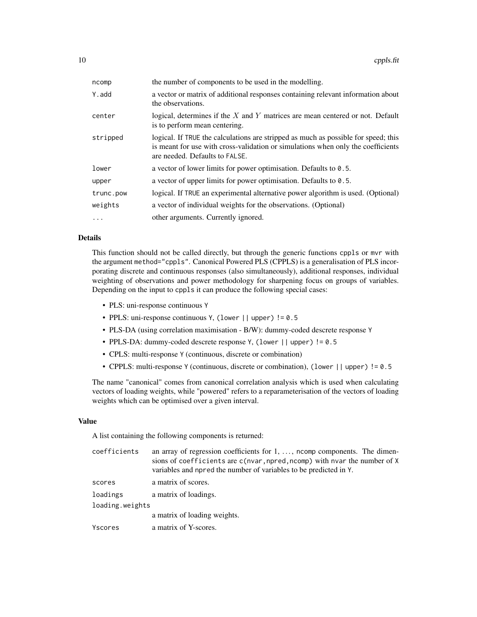| ncomp     | the number of components to be used in the modelling.                                                                                                                                                    |
|-----------|----------------------------------------------------------------------------------------------------------------------------------------------------------------------------------------------------------|
| Y.add     | a vector or matrix of additional responses containing relevant information about<br>the observations.                                                                                                    |
| center    | logical, determines if the $X$ and $Y$ matrices are mean centered or not. Default<br>is to perform mean centering.                                                                                       |
| stripped  | logical. If TRUE the calculations are stripped as much as possible for speed; this<br>is meant for use with cross-validation or simulations when only the coefficients<br>are needed. Defaults to FALSE. |
| lower     | a vector of lower limits for power optimisation. Defaults to 0.5.                                                                                                                                        |
| upper     | a vector of upper limits for power optimisation. Defaults to $0.5$ .                                                                                                                                     |
| trunc.pow | logical. If TRUE an experimental alternative power algorithm is used. (Optional)                                                                                                                         |
| weights   | a vector of individual weights for the observations. (Optional)                                                                                                                                          |
| $\cdots$  | other arguments. Currently ignored.                                                                                                                                                                      |

#### Details

This function should not be called directly, but through the generic functions cppls or mvr with the argument method="cppls". Canonical Powered PLS (CPPLS) is a generalisation of PLS incorporating discrete and continuous responses (also simultaneously), additional responses, individual weighting of observations and power methodology for sharpening focus on groups of variables. Depending on the input to cppls it can produce the following special cases:

- PLS: uni-response continuous Y
- PPLS: uni-response continuous Y, (lower || upper) != 0.5
- PLS-DA (using correlation maximisation B/W): dummy-coded descrete response Y
- PPLS-DA: dummy-coded descrete response Y, (lower || upper) != 0.5
- CPLS: multi-response Y (continuous, discrete or combination)
- CPPLS: multi-response Y (continuous, discrete or combination), (lower || upper) != 0.5

The name "canonical" comes from canonical correlation analysis which is used when calculating vectors of loading weights, while "powered" refers to a reparameterisation of the vectors of loading weights which can be optimised over a given interval.

#### Value

A list containing the following components is returned:

| coefficients    | an array of regression coefficients for $1, \ldots$ , noomp components. The dimen-<br>sions of coefficients are c(nvar, npred, ncomp) with nvar the number of X<br>variables and npred the number of variables to be predicted in Y. |
|-----------------|--------------------------------------------------------------------------------------------------------------------------------------------------------------------------------------------------------------------------------------|
| scores          | a matrix of scores.                                                                                                                                                                                                                  |
| loadings        | a matrix of loadings.                                                                                                                                                                                                                |
| loading.weights |                                                                                                                                                                                                                                      |
|                 | a matrix of loading weights.                                                                                                                                                                                                         |
| Yscores         | a matrix of Y-scores.                                                                                                                                                                                                                |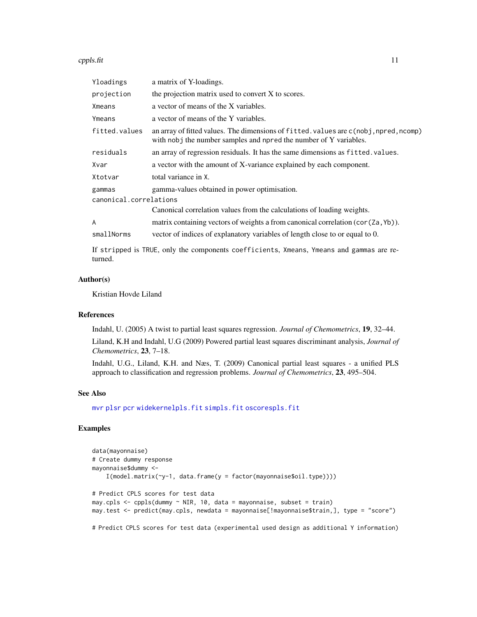#### <span id="page-10-0"></span>cppls.fit the contract of the contract of the contract of the contract of the contract of the contract of the contract of the contract of the contract of the contract of the contract of the contract of the contract of the

| a matrix of Y-loadings.                                                                                                                                   |
|-----------------------------------------------------------------------------------------------------------------------------------------------------------|
| the projection matrix used to convert X to scores.                                                                                                        |
| a vector of means of the X variables.                                                                                                                     |
| a vector of means of the Y variables.                                                                                                                     |
| an array of fitted values. The dimensions of fitted values are c(nobj, npred, ncomp)<br>with nobj the number samples and npred the number of Y variables. |
| an array of regression residuals. It has the same dimensions as fitted, values.                                                                           |
| a vector with the amount of X-variance explained by each component.                                                                                       |
| total variance in X.                                                                                                                                      |
| gamma-values obtained in power optimisation.                                                                                                              |
| canonical.correlations                                                                                                                                    |
| Canonical correlation values from the calculations of loading weights.                                                                                    |
| matrix containing vectors of weights a from canonical correlation (cor (Za, Yb)).                                                                         |
| vector of indices of explanatory variables of length close to or equal to 0.                                                                              |
|                                                                                                                                                           |

If stripped is TRUE, only the components coefficients, Xmeans, Ymeans and gammas are returned.

#### Author(s)

Kristian Hovde Liland

#### References

Indahl, U. (2005) A twist to partial least squares regression. *Journal of Chemometrics*, 19, 32–44.

Liland, K.H and Indahl, U.G (2009) Powered partial least squares discriminant analysis, *Journal of Chemometrics*, 23, 7–18.

Indahl, U.G., Liland, K.H. and Næs, T. (2009) Canonical partial least squares - a unified PLS approach to classification and regression problems. *Journal of Chemometrics*, 23, 495–504.

#### See Also

[mvr](#page-22-1) [plsr](#page-22-2) [pcr](#page-22-2) [widekernelpls.fit](#page-59-1) [simpls.fit](#page-50-1) [oscorespls.fit](#page-32-1)

## Examples

```
data(mayonnaise)
# Create dummy response
mayonnaise$dummy <-
    I(model.matrix(\gamma-1, data-frame(y = factor(mayonnaisefoil_type))))# Predict CPLS scores for test data
may.cpls <- cppls(dummy ~ NIR, 10, data = mayonnaise, subset = train)
may.test <- predict(may.cpls, newdata = mayonnaise[!mayonnaise$train,], type = "score")
```
# Predict CPLS scores for test data (experimental used design as additional Y information)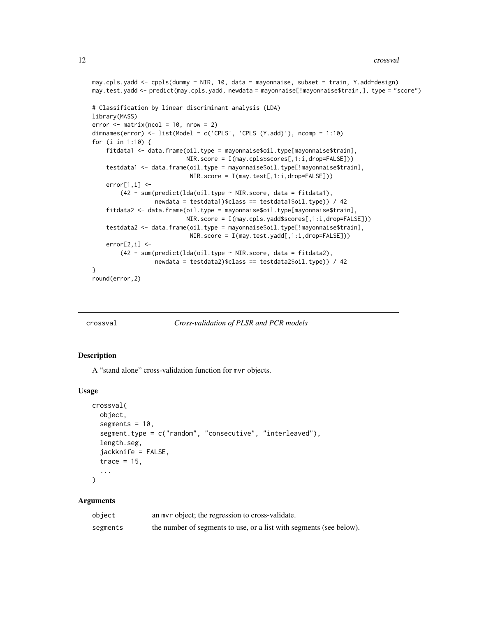```
may.cpls.yadd <- cppls(dummy ~ NIR, 10, data = mayonnaise, subset = train, Y.add=design)
may.test.yadd <- predict(may.cpls.yadd, newdata = mayonnaise[!mayonnaise$train,], type = "score")
# Classification by linear discriminant analysis (LDA)
library(MASS)
error < - matrix(ncol = 10, nrow = 2)
dimnames(error) <- list(Model = c('CPLS', 'CPLS (Y.add)'), ncomp = 1:10)
for (i in 1:10) {
    fitdata1 <- data.frame(oil.type = mayonnaise$oil.type[mayonnaise$train],
                           NIR.score = I(may.cpls$scores[,1:i,drop=FALSE]))
    testdata1 <- data.frame(oil.type = mayonnaise$oil.type[!mayonnaise$train],
                            NIR.score = I(may.test[,1:i,drop=FALSE]))
    error[1,i] < -(42 - sum(predict(lda(oil.type ~ NIR.score, data = fitdata1),
                  newdata = testdata1)$class == testdata1$oil.type)) / 42
    fitdata2 <- data.frame(oil.type = mayonnaise$oil.type[mayonnaise$train],
                           NIR.score = I(may.cpls.yadd$scores[,1:i,drop=FALSE]))
    testdata2 <- data.frame(oil.type = mayonnaise$oil.type[!mayonnaise$train],
                            NIR.score = I(may.test.yadd[,1:i,drop=FALSE]))
    error[2,i] < -(42 - sum(predict(lda(oil.type ~ NIR.score, data = fitdata2),
                  newdata = testdata2)$class == testdata2$oil.type)) / 42
}
round(error,2)
```
<span id="page-11-1"></span>

```
crossval Cross-validation of PLSR and PCR models
```
#### Description

A "stand alone" cross-validation function for mvr objects.

#### Usage

```
crossval(
  object,
  segments = 10,
  segment.type = c("random", "consecutive", "interleaved"),
  length.seg,
  jackknife = FALSE,
  trace = 15,
  ...
)
```

| object   | an myr object; the regression to cross-validate.                    |
|----------|---------------------------------------------------------------------|
| segments | the number of segments to use, or a list with segments (see below). |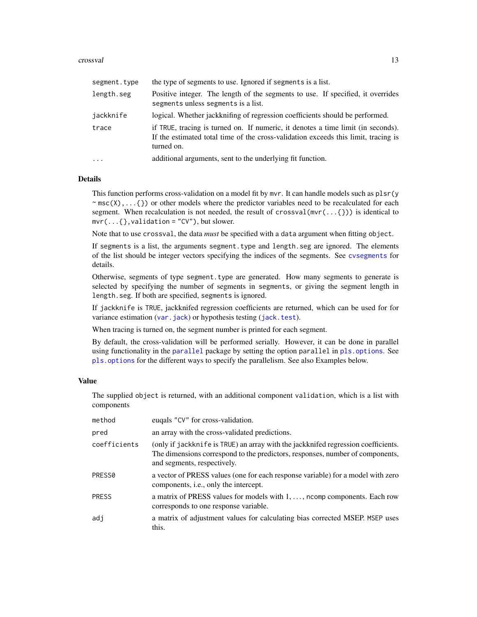#### <span id="page-12-0"></span>crossval and the crossval contract of the crossval contract of the crossval contract of the crossval contract of the crossval contract of the crossval contract of the crossval contract of the crossval contract of the cross

| segment.type | the type of segments to use. Ignored if segments is a list.                                                                                                                          |
|--------------|--------------------------------------------------------------------------------------------------------------------------------------------------------------------------------------|
| length.seg   | Positive integer. The length of the segments to use. If specified, it overrides<br>segments unless segments is a list.                                                               |
| jackknife    | logical. Whether jackknifing of regression coefficients should be performed.                                                                                                         |
| trace        | if TRUE, tracing is turned on. If numeric, it denotes a time limit (in seconds).<br>If the estimated total time of the cross-validation exceeds this limit, tracing is<br>turned on. |
| $\cdot$      | additional arguments, sent to the underlying fit function.                                                                                                                           |

## Details

This function performs cross-validation on a model fit by mvr. It can handle models such as plsr(y  $\sim$  msc(X),...{}) or other models where the predictor variables need to be recalculated for each segment. When recalculation is not needed, the result of crossval( $mvr(....{})$ ) is identical to  $mvr(...$ {},validation = "CV"), but slower.

Note that to use crossval, the data *must* be specified with a data argument when fitting object.

If segments is a list, the arguments segment.type and length.seg are ignored. The elements of the list should be integer vectors specifying the indices of the segments. See [cvsegments](#page-14-1) for details.

Otherwise, segments of type segment.type are generated. How many segments to generate is selected by specifying the number of segments in segments, or giving the segment length in length.seg. If both are specified, segments is ignored.

If jackknife is TRUE, jackknifed regression coefficients are returned, which can be used for for variance estimation ([var.jack](#page-57-1)) or hypothesis testing ([jack.test](#page-16-1)).

When tracing is turned on, the segment number is printed for each segment.

By default, the cross-validation will be performed serially. However, it can be done in parallel using functionality in the [parallel](#page-0-0) package by setting the option parallel in [pls.options](#page-35-1). See [pls.options](#page-35-1) for the different ways to specify the parallelism. See also Examples below.

## Value

The supplied object is returned, with an additional component validation, which is a list with components

| method       | eugals "CV" for cross-validation.                                                                                                                                                                 |
|--------------|---------------------------------------------------------------------------------------------------------------------------------------------------------------------------------------------------|
| pred         | an array with the cross-validated predictions.                                                                                                                                                    |
| coefficients | (only if jackknife is TRUE) an array with the jackknifed regression coefficients.<br>The dimensions correspond to the predictors, responses, number of components,<br>and segments, respectively. |
| PRESS0       | a vector of PRESS values (one for each response variable) for a model with zero<br>components, <i>i.e.</i> , only the intercept.                                                                  |
| <b>PRESS</b> | a matrix of PRESS values for models with 1, , norm components. Each row<br>corresponds to one response variable.                                                                                  |
| adi          | a matrix of adjustment values for calculating bias corrected MSEP. MSEP uses<br>this.                                                                                                             |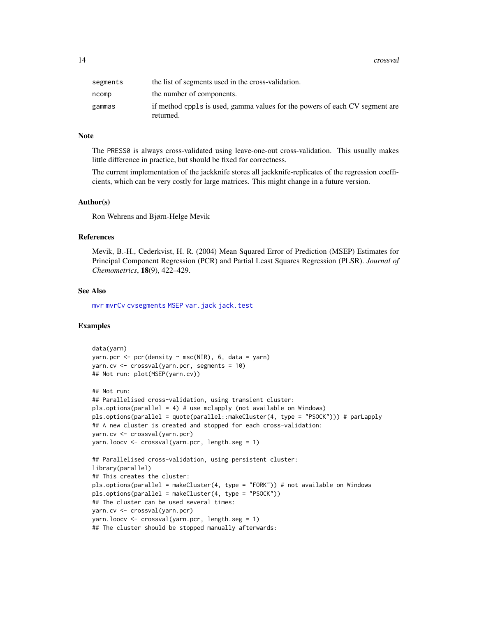<span id="page-13-0"></span>

| segments | the list of segments used in the cross-validation.                                       |
|----------|------------------------------------------------------------------------------------------|
| ncomp    | the number of components.                                                                |
| gammas   | if method cppls is used, gamma values for the powers of each CV segment are<br>returned. |

#### **Note**

The PRESS0 is always cross-validated using leave-one-out cross-validation. This usually makes little difference in practice, but should be fixed for correctness.

The current implementation of the jackknife stores all jackknife-replicates of the regression coefficients, which can be very costly for large matrices. This might change in a future version.

#### Author(s)

Ron Wehrens and Bjørn-Helge Mevik

## References

Mevik, B.-H., Cederkvist, H. R. (2004) Mean Squared Error of Prediction (MSEP) Estimates for Principal Component Regression (PCR) and Partial Least Squares Regression (PLSR). *Journal of Chemometrics*, 18(9), 422–429.

## See Also

[mvr](#page-22-1) [mvrCv](#page-26-1) [cvsegments](#page-14-1) [MSEP](#page-29-1) [var.jack](#page-57-1) [jack.test](#page-16-1)

## Examples

```
data(yarn)
yarn.pcr <- pcr(density \sim msc(NIR), 6, data = yarn)
yarn.cv <- crossval(yarn.pcr, segments = 10)
## Not run: plot(MSEP(yarn.cv))
## Not run:
## Parallelised cross-validation, using transient cluster:
pls.options(parallel = 4) # use mclapply (not available on Windows)
pls.options(parallel = quote(parallel::makeCluster(4, type = "PSOCK"))) # parLapply
## A new cluster is created and stopped for each cross-validation:
yarn.cv <- crossval(yarn.pcr)
yarn.loocv <- crossval(yarn.pcr, length.seg = 1)
## Parallelised cross-validation, using persistent cluster:
library(parallel)
## This creates the cluster:
pls.options(parallel = makeCluster(4, type = "FORK")) # not available on Windows
pls.options(parallel = makeCluster(4, type = "PSOCK"))
## The cluster can be used several times:
yarn.cv <- crossval(yarn.pcr)
yarn.loocv <- crossval(yarn.pcr, length.seg = 1)
## The cluster should be stopped manually afterwards:
```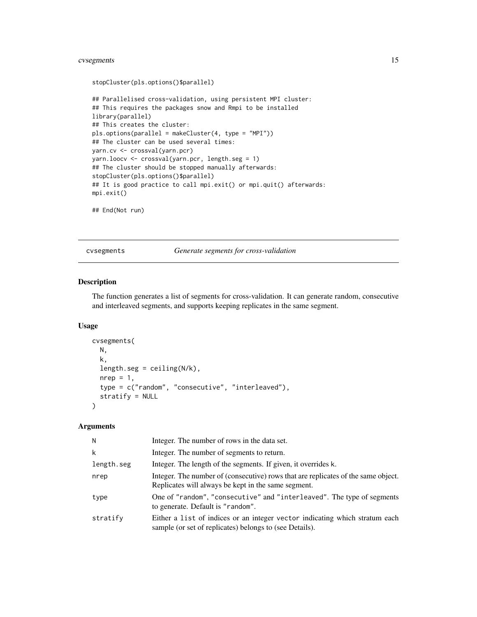## <span id="page-14-0"></span>cvsegments 15

```
stopCluster(pls.options()$parallel)
## Parallelised cross-validation, using persistent MPI cluster:
## This requires the packages snow and Rmpi to be installed
library(parallel)
## This creates the cluster:
pls.options(parallel = makeCluster(4, type = "MPI"))
## The cluster can be used several times:
yarn.cv <- crossval(yarn.pcr)
yarn.loocv <- crossval(yarn.pcr, length.seg = 1)
## The cluster should be stopped manually afterwards:
stopCluster(pls.options()$parallel)
## It is good practice to call mpi.exit() or mpi.quit() afterwards:
mpi.exit()
```
## End(Not run)

<span id="page-14-1"></span>cvsegments *Generate segments for cross-validation*

## Description

The function generates a list of segments for cross-validation. It can generate random, consecutive and interleaved segments, and supports keeping replicates in the same segment.

## Usage

```
cvsegments(
 N,
  k,
  length.seg = ceiling(N/k),
  nrep = 1,
  type = c("random", "consecutive", "interleaved"),
  stratify = NULL
\mathcal{L}
```

| Ν          | Integer. The number of rows in the data set.                                                                                             |
|------------|------------------------------------------------------------------------------------------------------------------------------------------|
| k          | Integer. The number of segments to return.                                                                                               |
| length.seg | Integer. The length of the segments. If given, it overrides k.                                                                           |
| nrep       | Integer. The number of (consecutive) rows that are replicates of the same object.<br>Replicates will always be kept in the same segment. |
| type       | One of "random", "consecutive" and "interleaved". The type of segments<br>to generate. Default is "random".                              |
| stratify   | Either a list of indices or an integer vector indicating which stratum each<br>sample (or set of replicates) belongs to (see Details).   |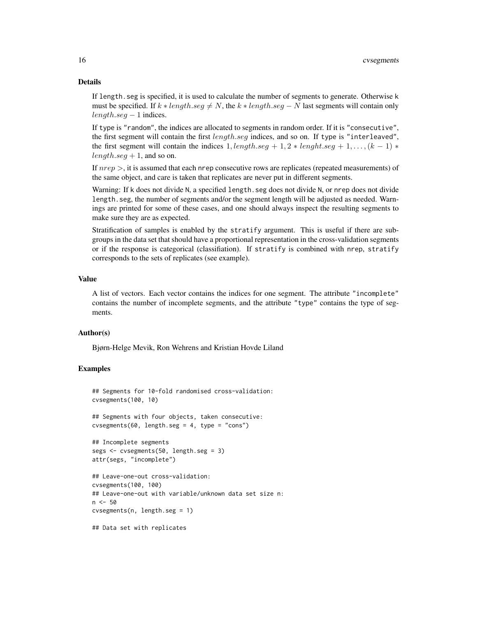#### Details

If length.seg is specified, it is used to calculate the number of segments to generate. Otherwise k must be specified. If  $k * length \text{.}seq \neq N$ , the  $k * length \text{.}seq - N$  last segments will contain only  $length.$ seg − 1 indices.

If type is "random", the indices are allocated to segments in random order. If it is "consecutive", the first segment will contain the first length.seg indices, and so on. If type is "interleaved", the first segment will contain the indices  $1, length.seq + 1, 2 * length.seq + 1, ..., (k - 1) *$  $length.seq + 1$ , and so on.

If  $nrep >$ , it is assumed that each nrep consecutive rows are replicates (repeated measurements) of the same object, and care is taken that replicates are never put in different segments.

Warning: If k does not divide N, a specified length. seg does not divide N, or nrep does not divide length.seg, the number of segments and/or the segment length will be adjusted as needed. Warnings are printed for some of these cases, and one should always inspect the resulting segments to make sure they are as expected.

Stratification of samples is enabled by the stratify argument. This is useful if there are subgroups in the data set that should have a proportional representation in the cross-validation segments or if the response is categorical (classifiation). If stratify is combined with nrep, stratify corresponds to the sets of replicates (see example).

#### Value

A list of vectors. Each vector contains the indices for one segment. The attribute "incomplete" contains the number of incomplete segments, and the attribute "type" contains the type of segments.

#### Author(s)

Bjørn-Helge Mevik, Ron Wehrens and Kristian Hovde Liland

#### Examples

## Segments for 10-fold randomised cross-validation: cvsegments(100, 10)

## Segments with four objects, taken consecutive:  $c$ vsegments(60, length.seg = 4, type = "cons")

```
## Incomplete segments
segs <- cvsegments(50, length.seg = 3)
attr(segs, "incomplete")
```

```
## Leave-one-out cross-validation:
cvsegments(100, 100)
## Leave-one-out with variable/unknown data set size n:
n <- 50
cvsegments(n, length.seg = 1)
```
## Data set with replicates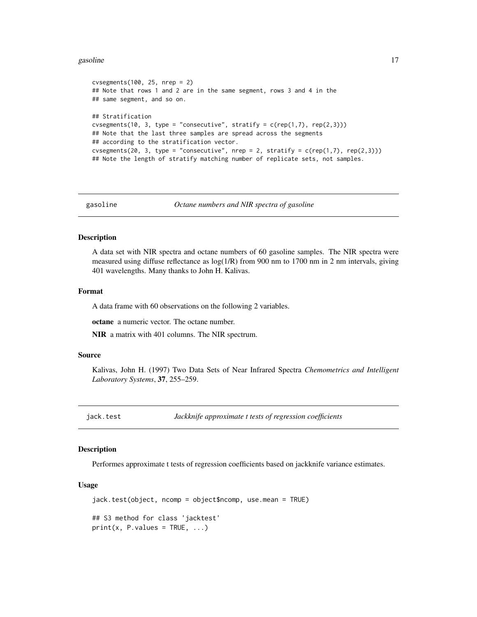#### <span id="page-16-0"></span>gasoline that the set of the set of the set of the set of the set of the set of the set of the set of the set of the set of the set of the set of the set of the set of the set of the set of the set of the set of the set of

```
cvsegments(100, 25, nrep = 2)
## Note that rows 1 and 2 are in the same segment, rows 3 and 4 in the
## same segment, and so on.
## Stratification
cvsegments(10, 3, type = "consecutive", stratify = c(rep(1,7), rep(2,3)))## Note that the last three samples are spread across the segments
## according to the stratification vector.
cvsegments(20, 3, type = "consecutive", nrep = 2, stratify = c(rep(1,7), rep(2,3)))## Note the length of stratify matching number of replicate sets, not samples.
```
gasoline *Octane numbers and NIR spectra of gasoline*

#### Description

A data set with NIR spectra and octane numbers of 60 gasoline samples. The NIR spectra were measured using diffuse reflectance as log(1/R) from 900 nm to 1700 nm in 2 nm intervals, giving 401 wavelengths. Many thanks to John H. Kalivas.

#### Format

A data frame with 60 observations on the following 2 variables.

octane a numeric vector. The octane number.

NIR a matrix with 401 columns. The NIR spectrum.

#### Source

Kalivas, John H. (1997) Two Data Sets of Near Infrared Spectra *Chemometrics and Intelligent Laboratory Systems*, 37, 255–259.

<span id="page-16-1"></span>jack.test *Jackknife approximate t tests of regression coefficients*

## Description

Performes approximate t tests of regression coefficients based on jackknife variance estimates.

#### Usage

```
jack.test(object, ncomp = object$ncomp, use.mean = TRUE)
## S3 method for class 'jacktest'
print(x, P.values = TRUE, ...)
```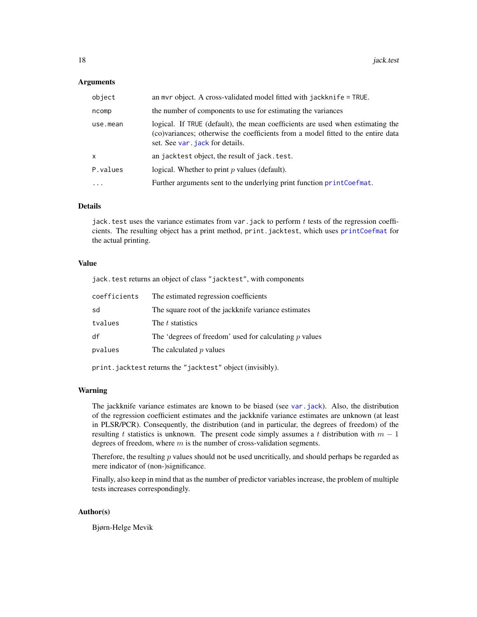#### <span id="page-17-0"></span>**Arguments**

| object       | an myr object. A cross-validated model fitted with jackknife $=$ TRUE.                                                                                                                                 |  |
|--------------|--------------------------------------------------------------------------------------------------------------------------------------------------------------------------------------------------------|--|
| ncomp        | the number of components to use for estimating the variances                                                                                                                                           |  |
| use.mean     | logical. If TRUE (default), the mean coefficients are used when estimating the<br>(co)variances; otherwise the coefficients from a model fitted to the entire data<br>set. See var . jack for details. |  |
| $\mathsf{x}$ | an jacktest object, the result of jack. test.                                                                                                                                                          |  |
| P.values     | logical. Whether to print $p$ values (default).                                                                                                                                                        |  |
| $\ddotsc$    | Further arguments sent to the underlying print function print Coefmat.                                                                                                                                 |  |

## Details

jack. test uses the variance estimates from var. jack to perform  $t$  tests of the regression coefficients. The resulting object has a print method, print.jacktest, which uses [printCoefmat](#page-0-0) for the actual printing.

#### Value

jack.test returns an object of class "jacktest", with components

| coefficients | The estimated regression coefficients                    |  |
|--------------|----------------------------------------------------------|--|
| sd           | The square root of the jackknife variance estimates      |  |
| tvalues      | The t statistics                                         |  |
| df           | The 'degrees of freedom' used for calculating $p$ values |  |
| pvalues      | The calculated $p$ values                                |  |
|              |                                                          |  |

print.jacktest returns the "jacktest" object (invisibly).

#### Warning

The jackknife variance estimates are known to be biased (see [var.jack](#page-57-1)). Also, the distribution of the regression coefficient estimates and the jackknife variance estimates are unknown (at least in PLSR/PCR). Consequently, the distribution (and in particular, the degrees of freedom) of the resulting t statistics is unknown. The present code simply assumes a t distribution with  $m - 1$ degrees of freedom, where  $m$  is the number of cross-validation segments.

Therefore, the resulting  $p$  values should not be used uncritically, and should perhaps be regarded as mere indicator of (non-)significance.

Finally, also keep in mind that as the number of predictor variables increase, the problem of multiple tests increases correspondingly.

## Author(s)

Bjørn-Helge Mevik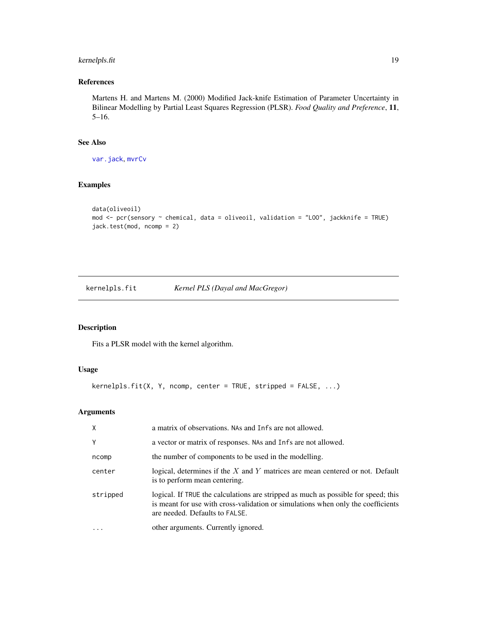## <span id="page-18-0"></span>kernelpls.fit 19

## References

Martens H. and Martens M. (2000) Modified Jack-knife Estimation of Parameter Uncertainty in Bilinear Modelling by Partial Least Squares Regression (PLSR). *Food Quality and Preference*, 11, 5–16.

## See Also

[var.jack](#page-57-1), [mvrCv](#page-26-1)

## Examples

```
data(oliveoil)
mod <- pcr(sensory ~ chemical, data = oliveoil, validation = "LOO", jackknife = TRUE)
jack.test(mod, ncomp = 2)
```
<span id="page-18-1"></span>kernelpls.fit *Kernel PLS (Dayal and MacGregor)*

## Description

Fits a PLSR model with the kernel algorithm.

## Usage

```
kernelpls.fit(X, Y, ncomp, center = TRUE, stripped = FALSE, ...)
```

| $\mathsf{X}$ | a matrix of observations. NAs and Infs are not allowed.                                                                                                                                                  |
|--------------|----------------------------------------------------------------------------------------------------------------------------------------------------------------------------------------------------------|
| Y            | a vector or matrix of responses. NAs and Infs are not allowed.                                                                                                                                           |
| ncomp        | the number of components to be used in the modelling.                                                                                                                                                    |
| center       | logical, determines if the $X$ and $Y$ matrices are mean centered or not. Default<br>is to perform mean centering.                                                                                       |
| stripped     | logical. If TRUE the calculations are stripped as much as possible for speed; this<br>is meant for use with cross-validation or simulations when only the coefficients<br>are needed. Defaults to FALSE. |
| .            | other arguments. Currently ignored.                                                                                                                                                                      |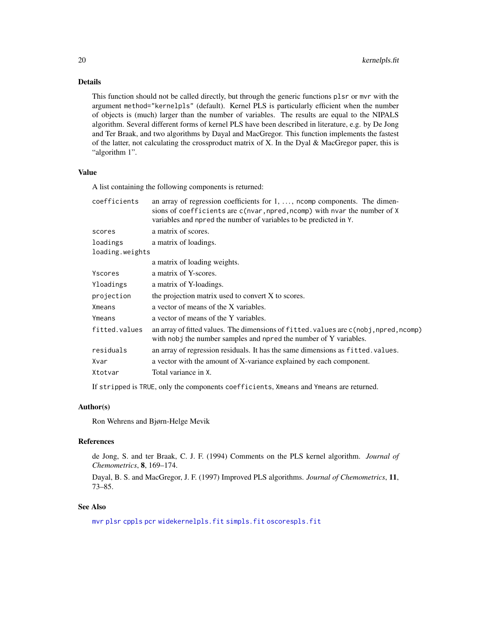## Details

This function should not be called directly, but through the generic functions plsr or mvr with the argument method="kernelpls" (default). Kernel PLS is particularly efficient when the number of objects is (much) larger than the number of variables. The results are equal to the NIPALS algorithm. Several different forms of kernel PLS have been described in literature, e.g. by De Jong and Ter Braak, and two algorithms by Dayal and MacGregor. This function implements the fastest of the latter, not calculating the crossproduct matrix of X. In the Dyal & MacGregor paper, this is "algorithm 1".

## Value

A list containing the following components is returned:

| coefficients    | an array of regression coefficients for $1, \ldots$ , norm components. The dimen-<br>sions of coefficients are c(nvar, npred, ncomp) with nvar the number of X<br>variables and npred the number of variables to be predicted in Y. |  |
|-----------------|-------------------------------------------------------------------------------------------------------------------------------------------------------------------------------------------------------------------------------------|--|
| scores          | a matrix of scores.                                                                                                                                                                                                                 |  |
| loadings        | a matrix of loadings.                                                                                                                                                                                                               |  |
| loading.weights |                                                                                                                                                                                                                                     |  |
|                 | a matrix of loading weights.                                                                                                                                                                                                        |  |
| Yscores         | a matrix of Y-scores.                                                                                                                                                                                                               |  |
| Yloadings       | a matrix of Y-loadings.                                                                                                                                                                                                             |  |
| projection      | the projection matrix used to convert X to scores.                                                                                                                                                                                  |  |
| Xmeans          | a vector of means of the X variables.                                                                                                                                                                                               |  |
| Ymeans          | a vector of means of the Y variables.                                                                                                                                                                                               |  |
| fitted.values   | an array of fitted values. The dimensions of fitted values are c(nobj, npred, ncomp)<br>with nobj the number samples and npred the number of Y variables.                                                                           |  |
| residuals       | an array of regression residuals. It has the same dimensions as fitted. values.                                                                                                                                                     |  |
| Xvar            | a vector with the amount of X-variance explained by each component.                                                                                                                                                                 |  |
| Xtotvar         | Total variance in X.                                                                                                                                                                                                                |  |
|                 |                                                                                                                                                                                                                                     |  |

If stripped is TRUE, only the components coefficients, Xmeans and Ymeans are returned.

#### Author(s)

Ron Wehrens and Bjørn-Helge Mevik

#### References

de Jong, S. and ter Braak, C. J. F. (1994) Comments on the PLS kernel algorithm. *Journal of Chemometrics*, 8, 169–174.

Dayal, B. S. and MacGregor, J. F. (1997) Improved PLS algorithms. *Journal of Chemometrics*, 11, 73–85.

## See Also

[mvr](#page-22-1) [plsr](#page-22-2) [cppls](#page-22-2) [pcr](#page-22-2) [widekernelpls.fit](#page-59-1) [simpls.fit](#page-50-1) [oscorespls.fit](#page-32-1)

<span id="page-19-0"></span>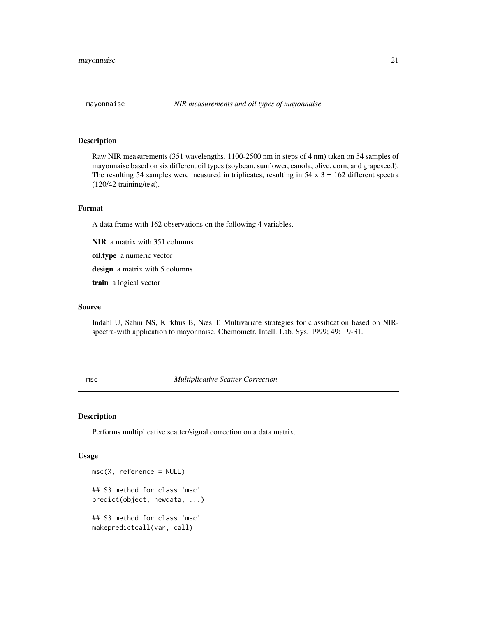## <span id="page-20-0"></span>Description

Raw NIR measurements (351 wavelengths, 1100-2500 nm in steps of 4 nm) taken on 54 samples of mayonnaise based on six different oil types (soybean, sunflower, canola, olive, corn, and grapeseed). The resulting 54 samples were measured in triplicates, resulting in  $54 \times 3 = 162$  different spectra (120/42 training/test).

#### Format

A data frame with 162 observations on the following 4 variables.

NIR a matrix with 351 columns

oil.type a numeric vector

design a matrix with 5 columns

train a logical vector

## Source

Indahl U, Sahni NS, Kirkhus B, Næs T. Multivariate strategies for classification based on NIRspectra-with application to mayonnaise. Chemometr. Intell. Lab. Sys. 1999; 49: 19-31.

<span id="page-20-1"></span>msc *Multiplicative Scatter Correction*

## Description

Performs multiplicative scatter/signal correction on a data matrix.

#### Usage

```
msc(X, reference = NULL)
## S3 method for class 'msc'
predict(object, newdata, ...)
## S3 method for class 'msc'
makepredictcall(var, call)
```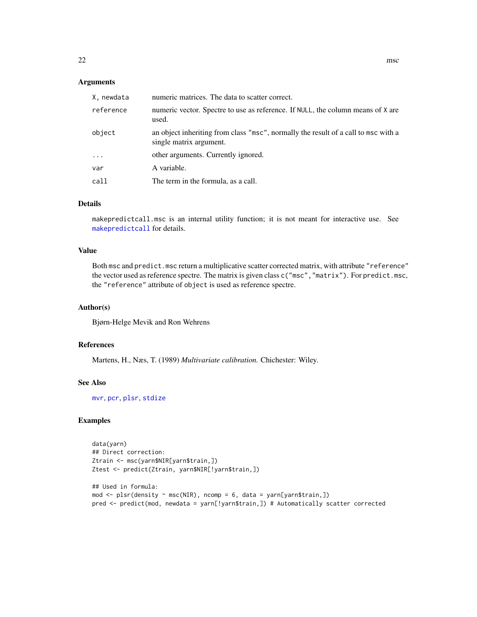#### <span id="page-21-0"></span>Arguments

| X, newdata | numeric matrices. The data to scatter correct.                                                                |
|------------|---------------------------------------------------------------------------------------------------------------|
| reference  | numeric vector. Spectre to use as reference. If NULL, the column means of X are<br>used.                      |
| object     | an object inheriting from class "msc", normally the result of a call to msc with a<br>single matrix argument. |
| $\ddotsc$  | other arguments. Currently ignored.                                                                           |
| var        | A variable.                                                                                                   |
| call       | The term in the formula, as a call.                                                                           |

#### Details

makepredictcall.msc is an internal utility function; it is not meant for interactive use. See [makepredictcall](#page-0-0) for details.

#### Value

Both msc and predict.msc return a multiplicative scatter corrected matrix, with attribute "reference" the vector used as reference spectre. The matrix is given class c("msc","matrix"). For predict.msc, the "reference" attribute of object is used as reference spectre.

#### Author(s)

Bjørn-Helge Mevik and Ron Wehrens

#### References

Martens, H., Næs, T. (1989) *Multivariate calibration.* Chichester: Wiley.

## See Also

[mvr](#page-22-1), [pcr](#page-22-2), [plsr](#page-22-2), [stdize](#page-52-1)

## Examples

```
data(yarn)
## Direct correction:
Ztrain <- msc(yarn$NIR[yarn$train,])
Ztest <- predict(Ztrain, yarn$NIR[!yarn$train,])
## Used in formula:
mod \leq plsr(density \sim msc(NIR), ncomp = 6, data = yarn[yarn$train,])
pred <- predict(mod, newdata = yarn[!yarn$train,]) # Automatically scatter corrected
```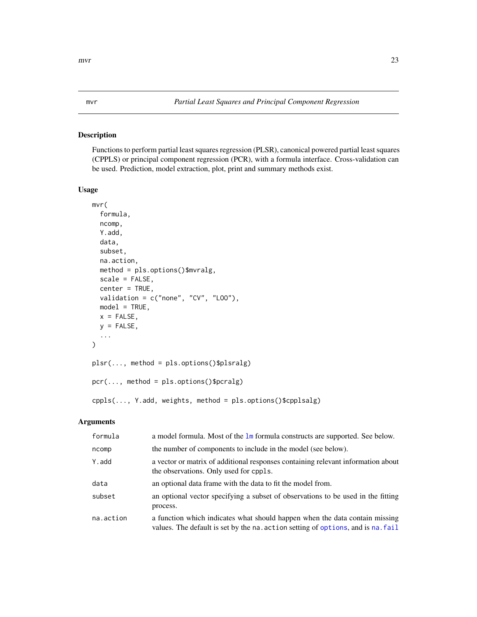#### <span id="page-22-2"></span><span id="page-22-1"></span><span id="page-22-0"></span>Description

Functions to perform partial least squares regression (PLSR), canonical powered partial least squares (CPPLS) or principal component regression (PCR), with a formula interface. Cross-validation can be used. Prediction, model extraction, plot, print and summary methods exist.

## Usage

```
mvr(
  formula,
  ncomp,
 Y.add,
  data,
  subset,
  na.action,
 method = pls.options()$mvralg,
  scale = FALSE,
  center = TRUE,
  validation = c("none", "CV", "LOO"),
 model = TRUE,x =FALSE,
 y = FALSE,
  ...
)
plsr(..., method = pls.options()$plsralg)
pcr(..., method = pls.options()$pcralg)
cppls(..., Y.add, weights, method = pls.options()$cpplsalg)
```

| formula   | a model formula. Most of the $\text{lm}$ formula constructs are supported. See below.                                                                           |
|-----------|-----------------------------------------------------------------------------------------------------------------------------------------------------------------|
| ncomp     | the number of components to include in the model (see below).                                                                                                   |
| Y.add     | a vector or matrix of additional responses containing relevant information about<br>the observations. Only used for cppls.                                      |
| data      | an optional data frame with the data to fit the model from.                                                                                                     |
| subset    | an optional vector specifying a subset of observations to be used in the fitting<br>process.                                                                    |
| na.action | a function which indicates what should happen when the data contain missing<br>values. The default is set by the na. action setting of options, and is na. fail |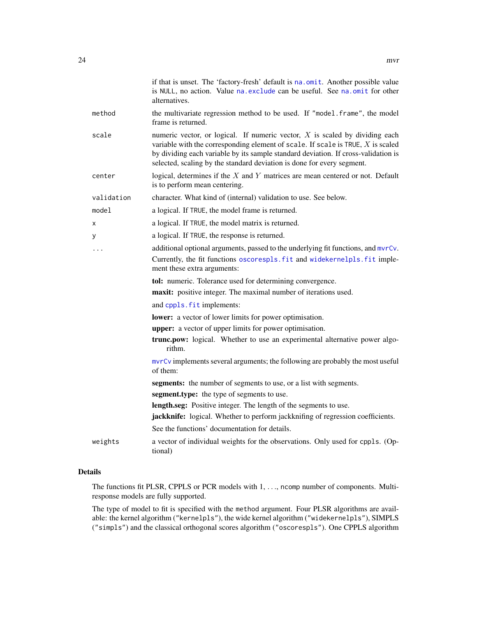<span id="page-23-0"></span>

|            | if that is unset. The 'factory-fresh' default is na.omit. Another possible value<br>is NULL, no action. Value na. exclude can be useful. See na. omit for other<br>alternatives.                                                                                                                                                   |
|------------|------------------------------------------------------------------------------------------------------------------------------------------------------------------------------------------------------------------------------------------------------------------------------------------------------------------------------------|
| method     | the multivariate regression method to be used. If "model.frame", the model<br>frame is returned.                                                                                                                                                                                                                                   |
| scale      | numeric vector, or logical. If numeric vector, $X$ is scaled by dividing each<br>variable with the corresponding element of scale. If scale is TRUE, $X$ is scaled<br>by dividing each variable by its sample standard deviation. If cross-validation is<br>selected, scaling by the standard deviation is done for every segment. |
| center     | logical, determines if the $X$ and $Y$ matrices are mean centered or not. Default<br>is to perform mean centering.                                                                                                                                                                                                                 |
| validation | character. What kind of (internal) validation to use. See below.                                                                                                                                                                                                                                                                   |
| model      | a logical. If TRUE, the model frame is returned.                                                                                                                                                                                                                                                                                   |
| x          | a logical. If TRUE, the model matrix is returned.                                                                                                                                                                                                                                                                                  |
| У          | a logical. If TRUE, the response is returned.                                                                                                                                                                                                                                                                                      |
| .          | additional optional arguments, passed to the underlying fit functions, and mvrCv.                                                                                                                                                                                                                                                  |
|            | Currently, the fit functions oscorespls. fit and widekernelpls. fit imple-<br>ment these extra arguments:                                                                                                                                                                                                                          |
|            | tol: numeric. Tolerance used for determining convergence.                                                                                                                                                                                                                                                                          |
|            | maxit: positive integer. The maximal number of iterations used.                                                                                                                                                                                                                                                                    |
|            | and cppls. fit implements:                                                                                                                                                                                                                                                                                                         |
|            | lower: a vector of lower limits for power optimisation.                                                                                                                                                                                                                                                                            |
|            | <b>upper:</b> a vector of upper limits for power optimisation.                                                                                                                                                                                                                                                                     |
|            | trunc.pow: logical. Whether to use an experimental alternative power algo-<br>rithm.                                                                                                                                                                                                                                               |
|            | myrCy implements several arguments; the following are probably the most useful<br>of them:                                                                                                                                                                                                                                         |
|            | segments: the number of segments to use, or a list with segments.                                                                                                                                                                                                                                                                  |
|            | segment.type: the type of segments to use.                                                                                                                                                                                                                                                                                         |
|            | length.seg: Positive integer. The length of the segments to use.                                                                                                                                                                                                                                                                   |
|            | jackknife: logical. Whether to perform jackknifing of regression coefficients.                                                                                                                                                                                                                                                     |
|            | See the functions' documentation for details.                                                                                                                                                                                                                                                                                      |
| weights    | a vector of individual weights for the observations. Only used for cppls. (Op-<br>tional)                                                                                                                                                                                                                                          |

## Details

The functions fit PLSR, CPPLS or PCR models with 1, . . ., ncomp number of components. Multiresponse models are fully supported.

The type of model to fit is specified with the method argument. Four PLSR algorithms are available: the kernel algorithm ("kernelpls"), the wide kernel algorithm ("widekernelpls"), SIMPLS ("simpls") and the classical orthogonal scores algorithm ("oscorespls"). One CPPLS algorithm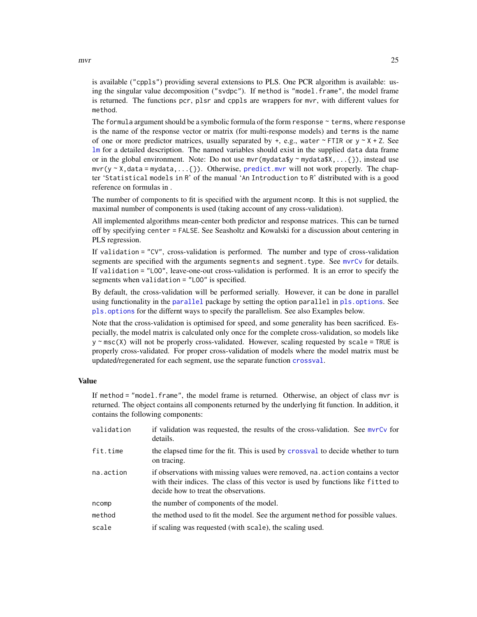is available ("cppls") providing several extensions to PLS. One PCR algorithm is available: using the singular value decomposition ("svdpc"). If method is "model.frame", the model frame is returned. The functions pcr, plsr and cppls are wrappers for mvr, with different values for method.

The formula argument should be a symbolic formula of the form response  $\sim$  terms, where response is the name of the response vector or matrix (for multi-response models) and terms is the name of one or more predictor matrices, usually separated by  $+$ , e.g., water  $\sim$  FTIR or  $y \sim X + Z$ . See [lm](#page-0-0) for a detailed description. The named variables should exist in the supplied data data frame or in the global environment. Note: Do not use  $mvr(mydata$y \sim mydata$X, \ldots \$ }), instead use  $mvr(y \sim X, \text{data} = \text{mydata}, \dots \{\})$ . Otherwise, [predict.mvr](#page-37-1) will not work properly. The chapter 'Statistical models in R' of the manual 'An Introduction to R' distributed with is a good reference on formulas in .

The number of components to fit is specified with the argument ncomp. It this is not supplied, the maximal number of components is used (taking account of any cross-validation).

All implemented algorithms mean-center both predictor and response matrices. This can be turned off by specifying center = FALSE. See Seasholtz and Kowalski for a discussion about centering in PLS regression.

If validation = "CV", cross-validation is performed. The number and type of cross-validation segments are specified with the arguments segments and segment.type. See [mvrCv](#page-26-1) for details. If validation = "LOO", leave-one-out cross-validation is performed. It is an error to specify the segments when validation = "LOO" is specified.

By default, the cross-validation will be performed serially. However, it can be done in parallel using functionality in the [parallel](#page-0-0) package by setting the option parallel in [pls.options](#page-35-1). See [pls.options](#page-35-1) for the differnt ways to specify the parallelism. See also Examples below.

Note that the cross-validation is optimised for speed, and some generality has been sacrificed. Especially, the model matrix is calculated only once for the complete cross-validation, so models like  $y \sim \text{msc}(X)$  will not be properly cross-validated. However, scaling requested by scale = TRUE is properly cross-validated. For proper cross-validation of models where the model matrix must be updated/regenerated for each segment, use the separate function [crossval](#page-11-1).

## Value

If method = "model.frame", the model frame is returned. Otherwise, an object of class mvr is returned. The object contains all components returned by the underlying fit function. In addition, it contains the following components:

| validation | if validation was requested, the results of the cross-validation. See myrCy for<br>details.                                                                                                                 |  |
|------------|-------------------------------------------------------------------------------------------------------------------------------------------------------------------------------------------------------------|--|
| fit.time   | the elapsed time for the fit. This is used by crossval to decide whether to turn<br>on tracing.                                                                                                             |  |
| na.action  | if observations with missing values were removed, na. action contains a vector<br>with their indices. The class of this vector is used by functions like fitted to<br>decide how to treat the observations. |  |
| ncomp      | the number of components of the model.                                                                                                                                                                      |  |
| method     | the method used to fit the model. See the argument method for possible values.                                                                                                                              |  |
| scale      | if scaling was requested (with scale), the scaling used.                                                                                                                                                    |  |
|            |                                                                                                                                                                                                             |  |

<span id="page-24-0"></span> $mvr$  25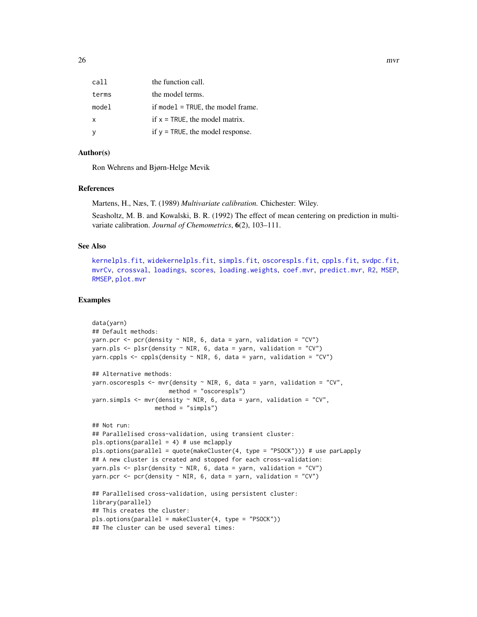<span id="page-25-0"></span>

| call  | the function call.                  |
|-------|-------------------------------------|
| terms | the model terms.                    |
| model | if model $=$ TRUE, the model frame. |
| X     | if $x = TRUE$ , the model matrix.   |
|       | if $y = TRUE$ , the model response. |

## Author(s)

Ron Wehrens and Bjørn-Helge Mevik

## References

Martens, H., Næs, T. (1989) *Multivariate calibration.* Chichester: Wiley.

Seasholtz, M. B. and Kowalski, B. R. (1992) The effect of mean centering on prediction in multivariate calibration. *Journal of Chemometrics*, 6(2), 103–111.

## See Also

[kernelpls.fit](#page-18-1), [widekernelpls.fit](#page-59-1), [simpls.fit](#page-50-1), [oscorespls.fit](#page-32-1), [cppls.fit](#page-8-1), [svdpc.fit](#page-53-1), [mvrCv](#page-26-1), [crossval](#page-11-1), [loadings](#page-47-1), [scores](#page-47-2), [loading.weights](#page-47-1), [coef.mvr](#page-3-1), [predict.mvr](#page-37-1), [R2](#page-29-1), [MSEP](#page-29-1), [RMSEP](#page-29-1), [plot.mvr](#page-34-1)

#### Examples

```
data(yarn)
## Default methods:
yarn.pcr <- pcr(density \sim NIR, 6, data = yarn, validation = "CV")
yarn.pls \leq plsr(density \sim NIR, 6, data = yarn, validation = "CV")
yarn.cppls \leq cppls(density \sim NIR, 6, data = yarn, validation = "CV")
## Alternative methods:
yarn.oscorespls <- mvr(density ~ NIR, 6, data = yarn, validation = "CV",
                      method = "oscorespls")
yarn.simpls \leq mvr(density \sim NIR, 6, data = yarn, validation = "CV",
                  method = "simpls")
## Not run:
## Parallelised cross-validation, using transient cluster:
pls.options(parallel = 4) # use mclapply
pls.options(parallel = quote(makeCluster(4, type = "PSOCK"))) # use parLapply
## A new cluster is created and stopped for each cross-validation:
yarn.pls \leq plsr(density \sim NIR, 6, data = yarn, validation = "CV")
yarn.pcr \leq pcr(density \sim NIR, 6, data = yarn, validation = "CV")
## Parallelised cross-validation, using persistent cluster:
library(parallel)
## This creates the cluster:
pls.options(parallel = makeCluster(4, type = "PSOCK"))
## The cluster can be used several times:
```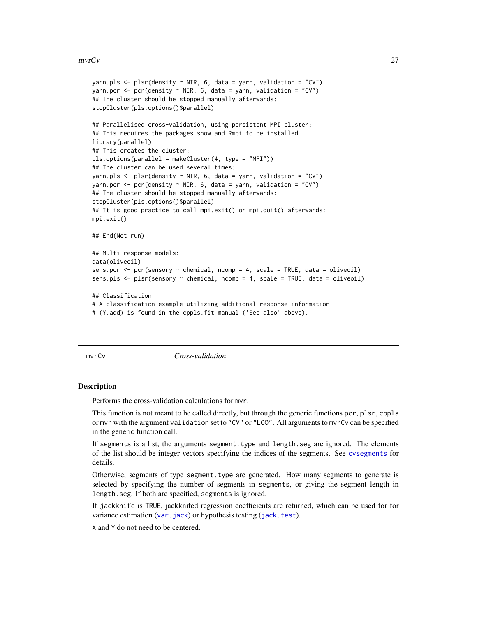#### <span id="page-26-0"></span>mvrCv 27

```
yarn.pls <- plsr(density ~ NIR, 6, data = yarn, validation = "CV")
yarn.pcr <- pcr(density ~ NIR, 6, data = yarn, validation = "CV")
## The cluster should be stopped manually afterwards:
stopCluster(pls.options()$parallel)
## Parallelised cross-validation, using persistent MPI cluster:
## This requires the packages snow and Rmpi to be installed
library(parallel)
## This creates the cluster:
pls.options(parallel = makeCluster(4, type = "MPI"))
## The cluster can be used several times:
yarn.pls <- plsr(density \sim NIR, 6, data = yarn, validation = "CV")
yarn.pcr <- pcr(density \sim NIR, 6, data = yarn, validation = "CV")
## The cluster should be stopped manually afterwards:
stopCluster(pls.options()$parallel)
## It is good practice to call mpi.exit() or mpi.quit() afterwards:
mpi.exit()
## End(Not run)
## Multi-response models:
data(oliveoil)
sens.pcr <- pcr(sensory \sim chemical, ncomp = 4, scale = TRUE, data = oliveoil)
sens.pls \leq- plsr(sensory \sim chemical, ncomp = 4, scale = TRUE, data = oliveoil)
## Classification
# A classification example utilizing additional response information
# (Y.add) is found in the cppls.fit manual ('See also' above).
```
<span id="page-26-1"></span>

mvrCv *Cross-validation*

#### Description

Performs the cross-validation calculations for mvr.

This function is not meant to be called directly, but through the generic functions pcr, plsr, cppls or mvr with the argument validation set to "CV" or "LOO". All arguments to mvrCv can be specified in the generic function call.

If segments is a list, the arguments segment.type and length.seg are ignored. The elements of the list should be integer vectors specifying the indices of the segments. See [cvsegments](#page-14-1) for details.

Otherwise, segments of type segment.type are generated. How many segments to generate is selected by specifying the number of segments in segments, or giving the segment length in length.seg. If both are specified, segments is ignored.

If jackknife is TRUE, jackknifed regression coefficients are returned, which can be used for for variance estimation (var. jack) or hypothesis testing ([jack.test](#page-16-1)).

X and Y do not need to be centered.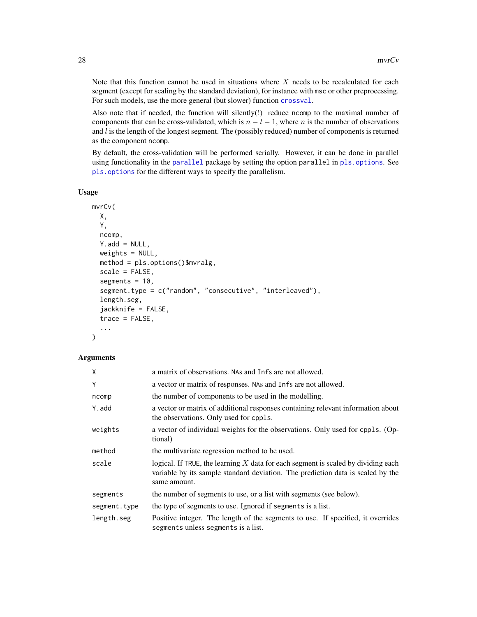<span id="page-27-0"></span>Note that this function cannot be used in situations where  $X$  needs to be recalculated for each segment (except for scaling by the standard deviation), for instance with msc or other preprocessing. For such models, use the more general (but slower) function [crossval](#page-11-1).

Also note that if needed, the function will silently(!) reduce ncomp to the maximal number of components that can be cross-validated, which is  $n - l - 1$ , where n is the number of observations and  $l$  is the length of the longest segment. The (possibly reduced) number of components is returned as the component ncomp.

By default, the cross-validation will be performed serially. However, it can be done in parallel using functionality in the [parallel](#page-0-0) package by setting the option parallel in [pls.options](#page-35-1). See [pls.options](#page-35-1) for the different ways to specify the parallelism.

## Usage

```
mvrCv(
  X,
  Y,
  ncomp,
  Y.add = NULL,weights = NULL,
  method = pls.options()$mvralg,
  scale = FALSE,
  segments = 10,
  segment.type = c("random", "consecutive", "interleaved"),
  length.seg,
  jackknife = FALSE,
  trace = FALSE,
  ...
)
```

| X            | a matrix of observations. NAs and Infs are not allowed.                                                                                                                                |
|--------------|----------------------------------------------------------------------------------------------------------------------------------------------------------------------------------------|
| Y            | a vector or matrix of responses. NAs and Infs are not allowed.                                                                                                                         |
| ncomp        | the number of components to be used in the modelling.                                                                                                                                  |
| Y.add        | a vector or matrix of additional responses containing relevant information about<br>the observations. Only used for cppls.                                                             |
| weights      | a vector of individual weights for the observations. Only used for cppls. (Op-<br>tional)                                                                                              |
| method       | the multivariate regression method to be used.                                                                                                                                         |
| scale        | logical. If TRUE, the learning $X$ data for each segment is scaled by dividing each<br>variable by its sample standard deviation. The prediction data is scaled by the<br>same amount. |
| segments     | the number of segments to use, or a list with segments (see below).                                                                                                                    |
| segment.type | the type of segments to use. Ignored if segments is a list.                                                                                                                            |
| length.seg   | Positive integer. The length of the segments to use. If specified, it overrides<br>segments unless segments is a list.                                                                 |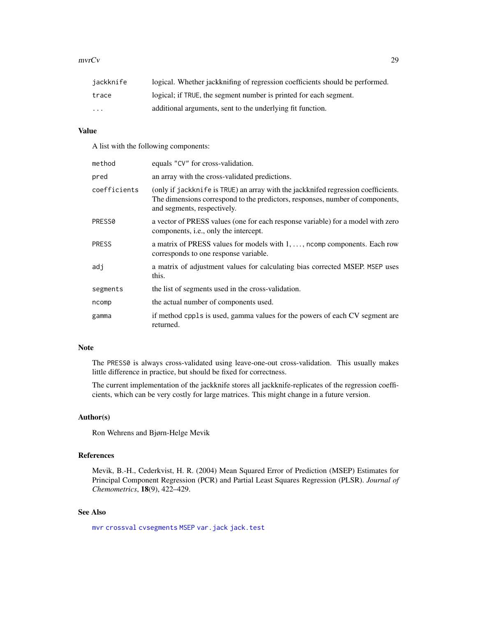#### <span id="page-28-0"></span>mvrCv 29

| jackknife               | logical. Whether jackknifting of regression coefficients should be performed. |
|-------------------------|-------------------------------------------------------------------------------|
| trace                   | logical; if TRUE, the segment number is printed for each segment.             |
| $\cdot$ $\cdot$ $\cdot$ | additional arguments, sent to the underlying fit function.                    |

## Value

A list with the following components:

| method       | equals "CV" for cross-validation.                                                                                                                                                                 |
|--------------|---------------------------------------------------------------------------------------------------------------------------------------------------------------------------------------------------|
| pred         | an array with the cross-validated predictions.                                                                                                                                                    |
| coefficients | (only if jackknife is TRUE) an array with the jackknifed regression coefficients.<br>The dimensions correspond to the predictors, responses, number of components,<br>and segments, respectively. |
| PRESS0       | a vector of PRESS values (one for each response variable) for a model with zero<br>components, <i>i.e.</i> , only the intercept.                                                                  |
| <b>PRESS</b> | a matrix of PRESS values for models with 1, , ncomp components. Each row<br>corresponds to one response variable.                                                                                 |
| adj          | a matrix of adjustment values for calculating bias corrected MSEP. MSEP uses<br>this.                                                                                                             |
| segments     | the list of segments used in the cross-validation.                                                                                                                                                |
| ncomp        | the actual number of components used.                                                                                                                                                             |
| gamma        | if method cppls is used, gamma values for the powers of each CV segment are<br>returned.                                                                                                          |

## Note

The PRESS0 is always cross-validated using leave-one-out cross-validation. This usually makes little difference in practice, but should be fixed for correctness.

The current implementation of the jackknife stores all jackknife-replicates of the regression coefficients, which can be very costly for large matrices. This might change in a future version.

#### Author(s)

Ron Wehrens and Bjørn-Helge Mevik

## References

Mevik, B.-H., Cederkvist, H. R. (2004) Mean Squared Error of Prediction (MSEP) Estimates for Principal Component Regression (PCR) and Partial Least Squares Regression (PLSR). *Journal of Chemometrics*, 18(9), 422–429.

## See Also

[mvr](#page-22-1) [crossval](#page-11-1) [cvsegments](#page-14-1) [MSEP](#page-29-1) [var.jack](#page-57-1) [jack.test](#page-16-1)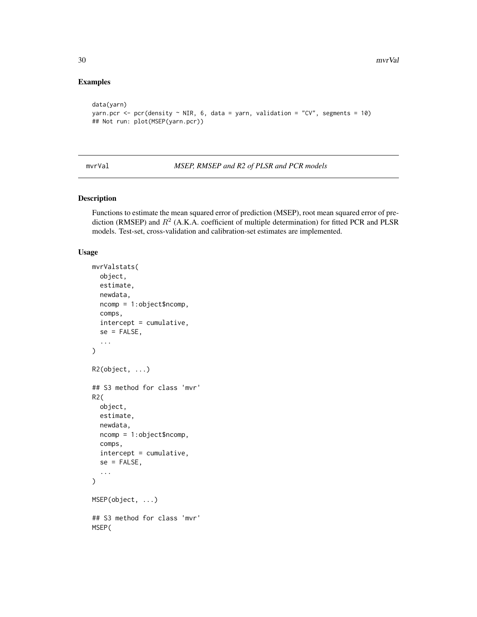## Examples

```
data(yarn)
yarn.pcr <- pcr(density \sim NIR, 6, data = yarn, validation = "CV", segments = 10)
## Not run: plot(MSEP(yarn.pcr))
```
mvrVal *MSEP, RMSEP and R2 of PLSR and PCR models*

## <span id="page-29-1"></span>Description

Functions to estimate the mean squared error of prediction (MSEP), root mean squared error of prediction (RMSEP) and  $R^2$  (A.K.A. coefficient of multiple determination) for fitted PCR and PLSR models. Test-set, cross-validation and calibration-set estimates are implemented.

#### Usage

```
mvrValstats(
 object,
  estimate,
 newdata,
  ncomp = 1:object$ncomp,
  comps,
  intercept = cumulative,
  se = FALSE,
  ...
)
R2(object, ...)
## S3 method for class 'mvr'
R2(
  object,
 estimate,
 newdata,
 ncomp = 1:object$ncomp,
  comps,
  intercept = cumulative,
  se = FALSE,...
\mathcal{L}MSEP(object, ...)
## S3 method for class 'mvr'
MSEP(
```
<span id="page-29-0"></span>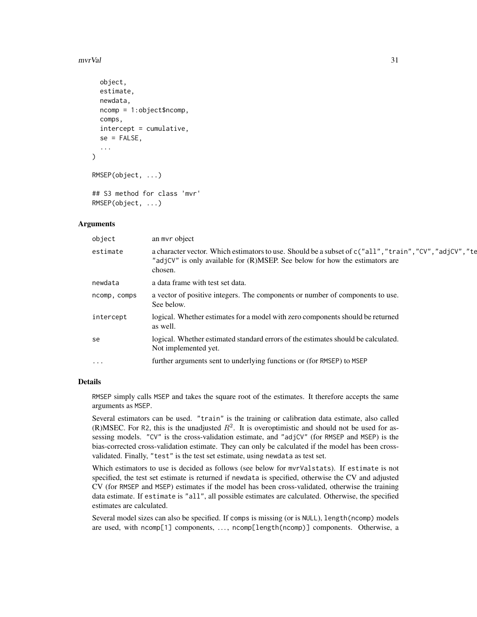#### mvrVal 31

```
object,
  estimate,
  newdata,
  ncomp = 1:object$ncomp,
  comps,
  intercept = cumulative,
  se = FALSE,...
\lambdaRMSEP(object, ...)
```
## S3 method for class 'mvr' RMSEP(object, ...)

#### Arguments

| object       | an myr object                                                                                                                                                                                     |
|--------------|---------------------------------------------------------------------------------------------------------------------------------------------------------------------------------------------------|
| estimate     | a character vector. Which estimators to use. Should be a subset of c("all", "train", "CV", "adjCV", "te<br>"adjCV" is only available for (R)MSEP. See below for how the estimators are<br>chosen. |
| newdata      | a data frame with test set data.                                                                                                                                                                  |
| ncomp, comps | a vector of positive integers. The components or number of components to use.<br>See below.                                                                                                       |
| intercept    | logical. Whether estimates for a model with zero components should be returned<br>as well.                                                                                                        |
| se           | logical. Whether estimated standard errors of the estimates should be calculated.<br>Not implemented yet.                                                                                         |
| $\ddotsc$    | further arguments sent to underlying functions or (for RMSEP) to MSEP                                                                                                                             |
|              |                                                                                                                                                                                                   |

#### Details

RMSEP simply calls MSEP and takes the square root of the estimates. It therefore accepts the same arguments as MSEP.

Several estimators can be used. "train" is the training or calibration data estimate, also called (R)MSEC. For R2, this is the unadjusted  $R^2$ . It is overoptimistic and should not be used for assessing models. "CV" is the cross-validation estimate, and "adjCV" (for RMSEP and MSEP) is the bias-corrected cross-validation estimate. They can only be calculated if the model has been crossvalidated. Finally, "test" is the test set estimate, using newdata as test set.

Which estimators to use is decided as follows (see below for mvrValstats). If estimate is not specified, the test set estimate is returned if newdata is specified, otherwise the CV and adjusted CV (for RMSEP and MSEP) estimates if the model has been cross-validated, otherwise the training data estimate. If estimate is "all", all possible estimates are calculated. Otherwise, the specified estimates are calculated.

Several model sizes can also be specified. If comps is missing (or is NULL), length(ncomp) models are used, with ncomp[1] components, ..., ncomp[length(ncomp)] components. Otherwise, a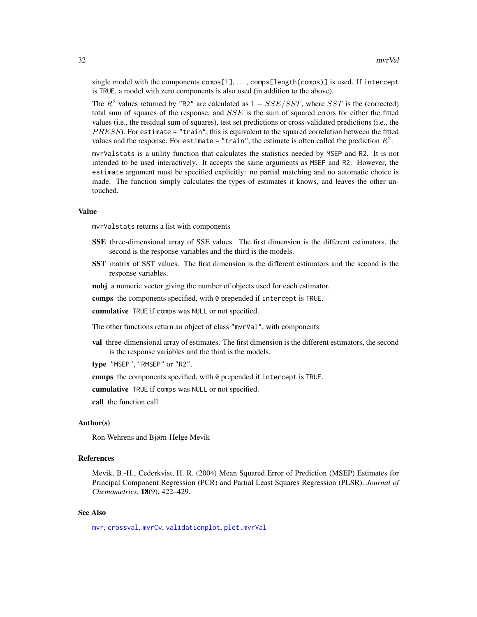<span id="page-31-0"></span>single model with the components comps[1], ..., comps[length(comps)] is used. If intercept is TRUE, a model with zero components is also used (in addition to the above).

The  $R^2$  values returned by "R2" are calculated as  $1 - SSE/SST$ , where SST is the (corrected) total sum of squares of the response, and SSE is the sum of squared errors for either the fitted values (i.e., the residual sum of squares), test set predictions or cross-validated predictions (i.e., the  $PRESS$ ). For estimate = "train", this is equivalent to the squared correlation between the fitted values and the response. For estimate = "train", the estimate is often called the prediction  $R^2$ .

mvrValstats is a utility function that calculates the statistics needed by MSEP and R2. It is not intended to be used interactively. It accepts the same arguments as MSEP and R2. However, the estimate argument must be specified explicitly: no partial matching and no automatic choice is made. The function simply calculates the types of estimates it knows, and leaves the other untouched.

#### Value

mvrValstats returns a list with components

- SSE three-dimensional array of SSE values. The first dimension is the different estimators, the second is the response variables and the third is the models.
- SST matrix of SST values. The first dimension is the different estimators and the second is the response variables.
- nobj a numeric vector giving the number of objects used for each estimator.

comps the components specified, with 0 prepended if intercept is TRUE.

cumulative TRUE if comps was NULL or not specified.

The other functions return an object of class "mvrVal", with components

val three-dimensional array of estimates. The first dimension is the different estimators, the second is the response variables and the third is the models.

type "MSEP", "RMSEP" or "R2".

comps the components specified, with 0 prepended if intercept is TRUE.

cumulative TRUE if comps was NULL or not specified.

call the function call

## Author(s)

Ron Wehrens and Bjørn-Helge Mevik

## References

Mevik, B.-H., Cederkvist, H. R. (2004) Mean Squared Error of Prediction (MSEP) Estimates for Principal Component Regression (PCR) and Partial Least Squares Regression (PLSR). *Journal of Chemometrics*, 18(9), 422–429.

## See Also

[mvr](#page-22-1), [crossval](#page-11-1), [mvrCv](#page-26-1), [validationplot](#page-55-1), [plot.mvrVal](#page-55-2)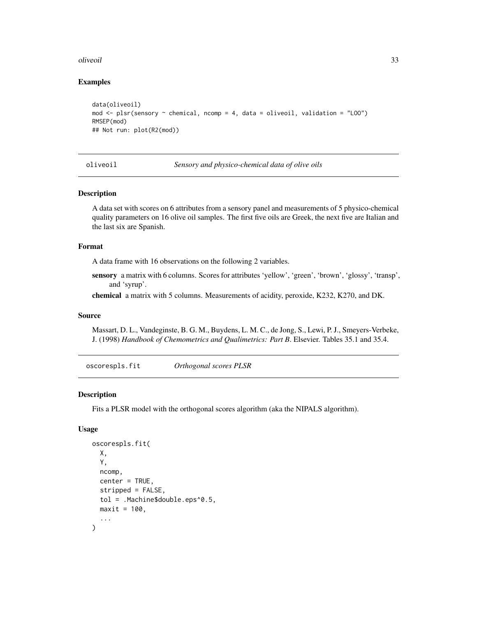#### <span id="page-32-0"></span>oliveoil **33**

## Examples

```
data(oliveoil)
mod \leq plsr(sensory \sim chemical, ncomp = 4, data = oliveoil, validation = "L00")
RMSEP(mod)
## Not run: plot(R2(mod))
```
oliveoil *Sensory and physico-chemical data of olive oils*

## Description

A data set with scores on 6 attributes from a sensory panel and measurements of 5 physico-chemical quality parameters on 16 olive oil samples. The first five oils are Greek, the next five are Italian and the last six are Spanish.

#### Format

A data frame with 16 observations on the following 2 variables.

sensory a matrix with 6 columns. Scores for attributes 'yellow', 'green', 'brown', 'glossy', 'transp', and 'syrup'.

chemical a matrix with 5 columns. Measurements of acidity, peroxide, K232, K270, and DK.

#### Source

Massart, D. L., Vandeginste, B. G. M., Buydens, L. M. C., de Jong, S., Lewi, P. J., Smeyers-Verbeke, J. (1998) *Handbook of Chemometrics and Qualimetrics: Part B*. Elsevier. Tables 35.1 and 35.4.

<span id="page-32-1"></span>oscorespls.fit *Orthogonal scores PLSR*

#### Description

Fits a PLSR model with the orthogonal scores algorithm (aka the NIPALS algorithm).

#### Usage

```
oscorespls.fit(
 X,
  Y,
 ncomp,
  center = TRUE,
  stripped = FALSE,
  tol = .Machine$double.eps^0.5,
 maxit = 100,
  ...
)
```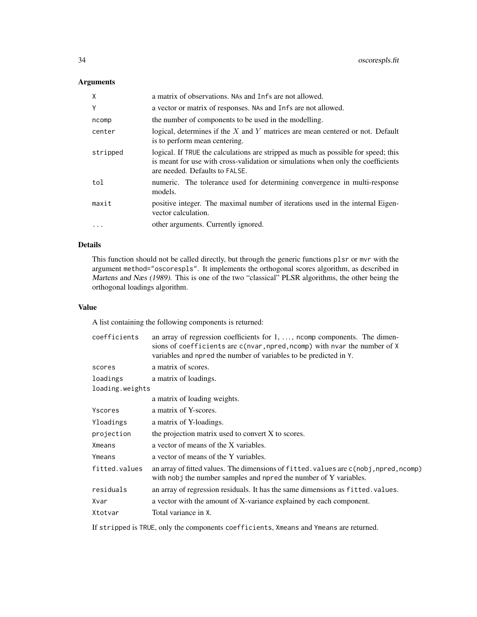## Arguments

| X         | a matrix of observations. NAs and Infs are not allowed.                                                                                                                                                  |
|-----------|----------------------------------------------------------------------------------------------------------------------------------------------------------------------------------------------------------|
| Y         | a vector or matrix of responses. NAs and Infs are not allowed.                                                                                                                                           |
| ncomp     | the number of components to be used in the modelling.                                                                                                                                                    |
| center    | logical, determines if the $X$ and $Y$ matrices are mean centered or not. Default<br>is to perform mean centering.                                                                                       |
| stripped  | logical. If TRUE the calculations are stripped as much as possible for speed; this<br>is meant for use with cross-validation or simulations when only the coefficients<br>are needed. Defaults to FALSE. |
| tol       | numeric. The tolerance used for determining convergence in multi-response<br>models.                                                                                                                     |
| maxit     | positive integer. The maximal number of iterations used in the internal Eigen-<br>vector calculation.                                                                                                    |
| $\ddotsc$ | other arguments. Currently ignored.                                                                                                                                                                      |

## Details

This function should not be called directly, but through the generic functions plsr or mvr with the argument method="oscorespls". It implements the orthogonal scores algorithm, as described in Martens and Næs (1989). This is one of the two "classical" PLSR algorithms, the other being the orthogonal loadings algorithm.

## Value

A list containing the following components is returned:

| coefficients    | an array of regression coefficients for $1, \ldots$ , norm components. The dimen-<br>sions of coefficients are c(nvar, npred, ncomp) with nvar the number of X<br>variables and npred the number of variables to be predicted in Y. |
|-----------------|-------------------------------------------------------------------------------------------------------------------------------------------------------------------------------------------------------------------------------------|
| scores          | a matrix of scores.                                                                                                                                                                                                                 |
| loadings        | a matrix of loadings.                                                                                                                                                                                                               |
| loading.weights |                                                                                                                                                                                                                                     |
|                 | a matrix of loading weights.                                                                                                                                                                                                        |
| Yscores         | a matrix of Y-scores.                                                                                                                                                                                                               |
| Yloadings       | a matrix of Y-loadings.                                                                                                                                                                                                             |
| projection      | the projection matrix used to convert X to scores.                                                                                                                                                                                  |
| Xmeans          | a vector of means of the X variables.                                                                                                                                                                                               |
| Ymeans          | a vector of means of the Y variables.                                                                                                                                                                                               |
| fitted.values   | an array of fitted values. The dimensions of fitted values are c(nobj, npred, ncomp)<br>with nobj the number samples and npred the number of Y variables.                                                                           |
| residuals       | an array of regression residuals. It has the same dimensions as fitted. values.                                                                                                                                                     |
| Xvar            | a vector with the amount of X-variance explained by each component.                                                                                                                                                                 |
| Xtotvar         | Total variance in X.                                                                                                                                                                                                                |
|                 |                                                                                                                                                                                                                                     |

If stripped is TRUE, only the components coefficients, Xmeans and Ymeans are returned.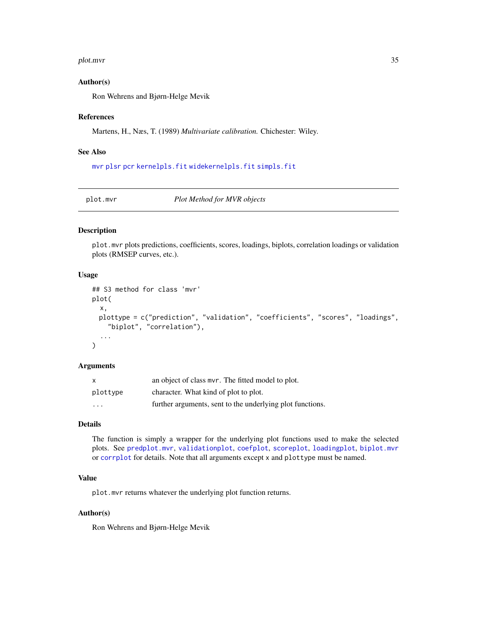#### <span id="page-34-0"></span>plot.mvr 35

#### Author(s)

Ron Wehrens and Bjørn-Helge Mevik

#### References

Martens, H., Næs, T. (1989) *Multivariate calibration.* Chichester: Wiley.

#### See Also

[mvr](#page-22-1) [plsr](#page-22-2) [pcr](#page-22-2) [kernelpls.fit](#page-18-1) [widekernelpls.fit](#page-59-1) [simpls.fit](#page-50-1)

<span id="page-34-1"></span>plot.mvr *Plot Method for MVR objects*

## Description

plot.mvr plots predictions, coefficients, scores, loadings, biplots, correlation loadings or validation plots (RMSEP curves, etc.).

#### Usage

```
## S3 method for class 'mvr'
plot(
  x,
 plottype = c("prediction", "validation", "coefficients", "scores", "loadings",
    "biplot", "correlation"),
  ...
)
```
## Arguments

| $\mathsf{x}$            | an object of class mvr. The fitted model to plot.         |
|-------------------------|-----------------------------------------------------------|
| plottype                | character. What kind of plot to plot.                     |
| $\cdot$ $\cdot$ $\cdot$ | further arguments, sent to the underlying plot functions. |

## Details

The function is simply a wrapper for the underlying plot functions used to make the selected plots. See [predplot.mvr](#page-39-1), [validationplot](#page-55-1), [coefplot](#page-5-1), [scoreplot](#page-43-1), [loadingplot](#page-43-2), [biplot.mvr](#page-1-1) or [corrplot](#page-43-2) for details. Note that all arguments except x and plottype must be named.

## Value

plot.mvr returns whatever the underlying plot function returns.

## Author(s)

Ron Wehrens and Bjørn-Helge Mevik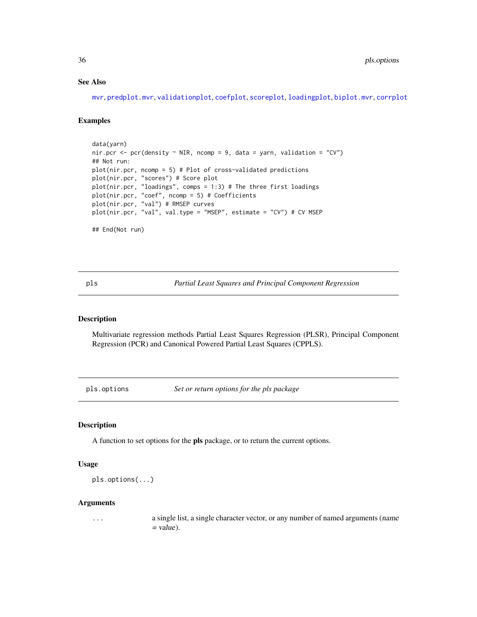## See Also

[mvr](#page-22-1), [predplot.mvr](#page-39-1), [validationplot](#page-55-1), [coefplot](#page-5-1), [scoreplot](#page-43-1), [loadingplot](#page-43-2), [biplot.mvr](#page-1-1), [corrplot](#page-43-2)

#### Examples

```
data(yarn)
nir.pcr <- pcr(density \sim NIR, ncomp = 9, data = yarn, validation = "CV")
## Not run:
plot(nir.pcr, ncomp = 5) # Plot of cross-validated predictions
plot(nir.pcr, "scores") # Score plot
plot(nir.pcr, "loadings", comps = 1:3) # The three first loadings
plot(nir.pcr, "coef", ncomp = 5) # Coefficients
plot(nir.pcr, "val") # RMSEP curves
plot(nir.pcr, "val", val.type = "MSEP", estimate = "CV") # CV MSEP
## End(Not run)
```
pls *Partial Least Squares and Principal Component Regression*

#### Description

Multivariate regression methods Partial Least Squares Regression (PLSR), Principal Component Regression (PCR) and Canonical Powered Partial Least Squares (CPPLS).

<span id="page-35-1"></span>pls.options *Set or return options for the pls package*

## Description

A function to set options for the pls package, or to return the current options.

## Usage

pls.options(...)

#### Arguments

... a single list, a single character vector, or any number of named arguments (name  $=$  value).

<span id="page-35-0"></span>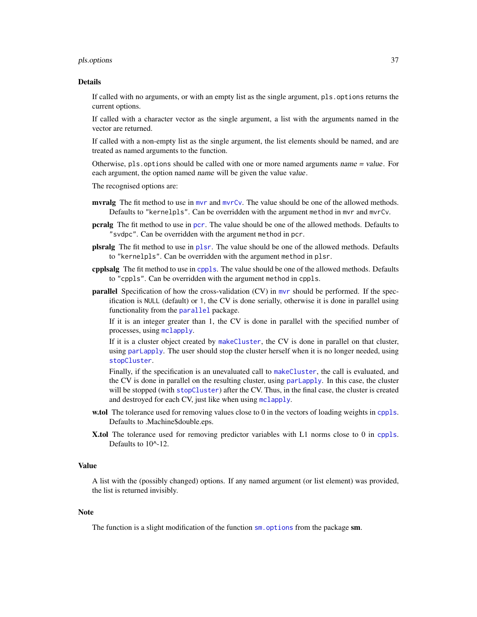#### <span id="page-36-0"></span>pls.options 37

#### Details

If called with no arguments, or with an empty list as the single argument, pls.options returns the current options.

If called with a character vector as the single argument, a list with the arguments named in the vector are returned.

If called with a non-empty list as the single argument, the list elements should be named, and are treated as named arguments to the function.

Otherwise, pls.options should be called with one or more named arguments name  $=$  value. For each argument, the option named name will be given the value value.

The recognised options are:

- myralg The fit method to use in myr and myrCv. The value should be one of the allowed methods. Defaults to "kernelpls". Can be overridden with the argument method in mvr and mvrCv.
- pcralg The fit method to use in [pcr](#page-22-2). The value should be one of the allowed methods. Defaults to "svdpc". Can be overridden with the argument method in pcr.
- plsralg The fit method to use in [plsr](#page-22-2). The value should be one of the allowed methods. Defaults to "kernelpls". Can be overridden with the argument method in plsr.
- cpplsalg The fit method to use in [cppls](#page-22-2). The value should be one of the allowed methods. Defaults to "cppls". Can be overridden with the argument method in cppls.
- parallel Specification of how the cross-validation (CV) in [mvr](#page-22-1) should be performed. If the specification is NULL (default) or 1, the CV is done serially, otherwise it is done in parallel using functionality from the [parallel](#page-0-0) package.

If it is an integer greater than 1, the CV is done in parallel with the specified number of processes, using [mclapply](#page-0-0).

If it is a cluster object created by [makeCluster](#page-0-0), the CV is done in parallel on that cluster, using [parLapply](#page-0-0). The user should stop the cluster herself when it is no longer needed, using [stopCluster](#page-0-0).

Finally, if the specification is an unevaluated call to [makeCluster](#page-0-0), the call is evaluated, and the CV is done in parallel on the resulting cluster, using parlapply. In this case, the cluster will be stopped (with [stopCluster](#page-0-0)) after the CV. Thus, in the final case, the cluster is created and destroyed for each CV, just like when using [mclapply](#page-0-0).

- w.tol The tolerance used for removing values close to 0 in the vectors of loading weights in [cppls](#page-22-2). Defaults to .Machine\$double.eps.
- X.tol The tolerance used for removing predictor variables with L1 norms close to 0 in [cppls](#page-22-2). Defaults to  $10^{\text{A}}-12$ .

#### Value

A list with the (possibly changed) options. If any named argument (or list element) was provided, the list is returned invisibly.

#### **Note**

The function is a slight modification of the function  $sm$ . options from the package sm.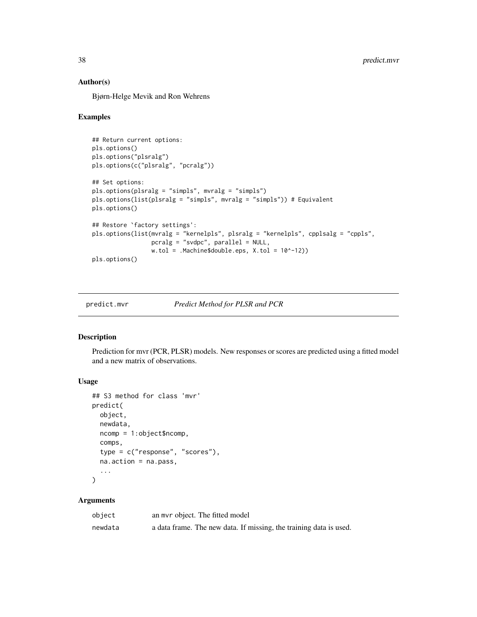#### Author(s)

Bjørn-Helge Mevik and Ron Wehrens

#### Examples

```
## Return current options:
pls.options()
pls.options("plsralg")
pls.options(c("plsralg", "pcralg"))
## Set options:
pls.options(plsralg = "simpls", mvralg = "simpls")
pls.options(list(plsralg = "simpls", mvralg = "simpls")) # Equivalent
pls.options()
## Restore `factory settings':
pls.options(list(mvralg = "kernelpls", plsralg = "kernelpls", cpplsalg = "cppls",
                 pcralg = "svdpc", parallel = NULL,
                  w.tol = .Machine$double.eps, X.tol = <math>10^{\wedge} -12</math>)pls.options()
```
<span id="page-37-1"></span>

predict.mvr *Predict Method for PLSR and PCR*

#### Description

Prediction for mvr (PCR, PLSR) models. New responses or scores are predicted using a fitted model and a new matrix of observations.

## Usage

```
## S3 method for class 'mvr'
predict(
  object,
  newdata,
  ncomp = 1:object$ncomp,
  comps,
  type = c("response", "scores"),
  na.action = na.pass,
  ...
\mathcal{L}
```

| object  | an myr object. The fitted model                                    |
|---------|--------------------------------------------------------------------|
| newdata | a data frame. The new data. If missing, the training data is used. |

<span id="page-37-0"></span>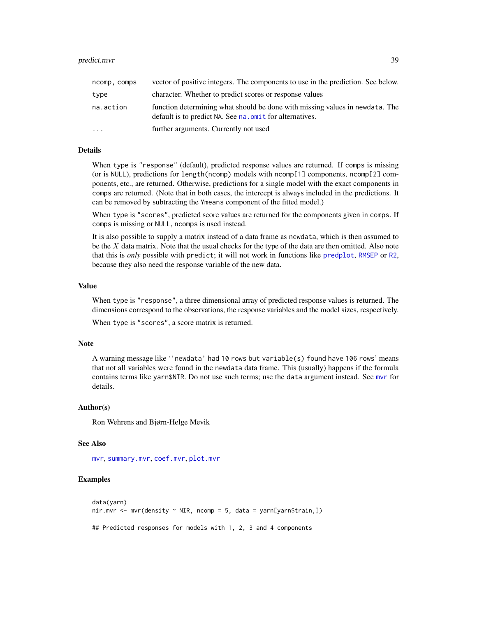#### <span id="page-38-0"></span>predict.mvr 39

| ncomp, comps | vector of positive integers. The components to use in the prediction. See below.                                                         |
|--------------|------------------------------------------------------------------------------------------------------------------------------------------|
| type         | character. Whether to predict scores or response values                                                                                  |
| na.action    | function determining what should be done with missing values in newdata. The<br>default is to predict NA. See na. omit for alternatives. |
| $\ddotsc$    | further arguments. Currently not used                                                                                                    |

#### Details

When type is "response" (default), predicted response values are returned. If comps is missing (or is NULL), predictions for length(ncomp) models with ncomp[1] components, ncomp[2] components, etc., are returned. Otherwise, predictions for a single model with the exact components in comps are returned. (Note that in both cases, the intercept is always included in the predictions. It can be removed by subtracting the Ymeans component of the fitted model.)

When type is "scores", predicted score values are returned for the components given in comps. If comps is missing or NULL, ncomps is used instead.

It is also possible to supply a matrix instead of a data frame as newdata, which is then assumed to be the  $X$  data matrix. Note that the usual checks for the type of the data are then omitted. Also note that this is *only* possible with predict; it will not work in functions like [predplot](#page-39-2), [RMSEP](#page-29-1) or [R2](#page-29-1), because they also need the response variable of the new data.

#### Value

When type is "response", a three dimensional array of predicted response values is returned. The dimensions correspond to the observations, the response variables and the model sizes, respectively.

When type is "scores", a score matrix is returned.

#### Note

A warning message like ''newdata' had 10 rows but variable(s) found have 106 rows' means that not all variables were found in the newdata data frame. This (usually) happens if the formula contains terms like yarn\$NIR. Do not use such terms; use the data argument instead. See [mvr](#page-22-1) for details.

#### Author(s)

Ron Wehrens and Bjørn-Helge Mevik

#### See Also

[mvr](#page-22-1), [summary.mvr](#page-42-1), [coef.mvr](#page-3-1), [plot.mvr](#page-34-1)

## **Examples**

```
data(yarn)
nir.mvr \leq mvr(density \leq NIR, ncomp = 5, data = yarn[yarn$train, ])## Predicted responses for models with 1, 2, 3 and 4 components
```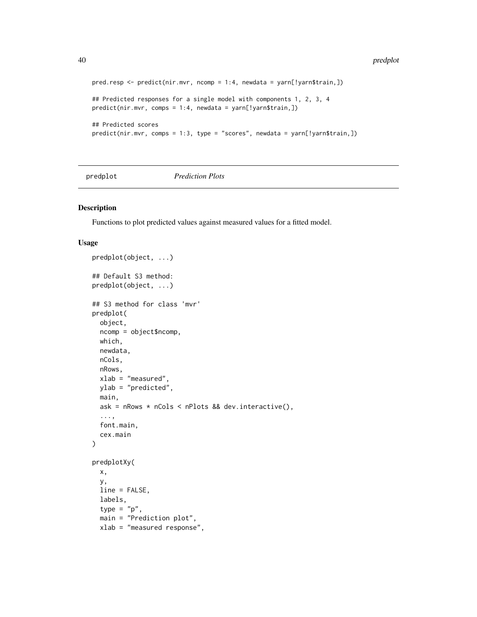```
pred.resp <- predict(nir.mvr, ncomp = 1:4, newdata = yarn[!yarn$train,])
## Predicted responses for a single model with components 1, 2, 3, 4
predict(nir.mvr, comps = 1:4, newdata = yarn[!yarn$train,])
## Predicted scores
predict(nir.mvr, comps = 1:3, type = "scores", newdata = yarn[!yarn$train,])
```
<span id="page-39-2"></span>predplot *Prediction Plots*

#### <span id="page-39-1"></span>Description

predplot(object, ...)

Functions to plot predicted values against measured values for a fitted model.

#### Usage

```
## Default S3 method:
predplot(object, ...)
## S3 method for class 'mvr'
predplot(
 object,
  ncomp = object$ncomp,
 which,
 newdata,
 nCols,
 nRows,
  xlab = "measured",
 ylab = "predicted",
 main,
  ask = nRows * nCols < nPlots && dev.interactive(),
  ...,
  font.main,
  cex.main
)
predplotXy(
 x,
 y,
 line = FALSE,
  labels,
  type = "p",
  main = "Prediction plot",
  xlab = "measured response",
```
<span id="page-39-0"></span>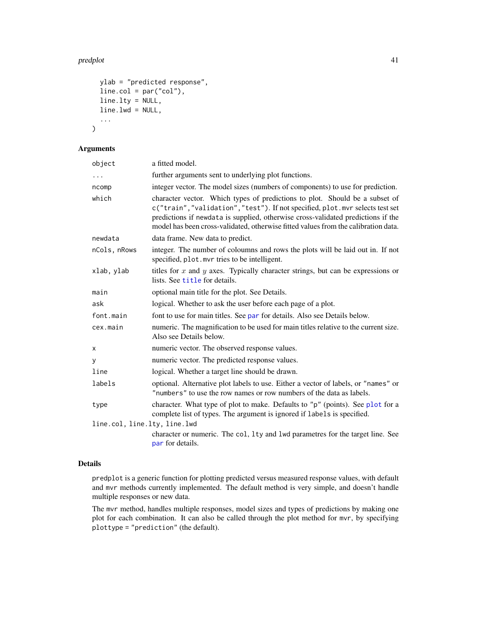#### <span id="page-40-0"></span>predplot that the contract of the contract of the contract of the contract of the contract of the contract of the contract of the contract of the contract of the contract of the contract of the contract of the contract of

```
ylab = "predicted response",
line.col = par("col"),line.lty = NULL,
line.lwd = NULL,
...
```
#### Arguments

)

| object                       | a fitted model.                                                                                                                                                                                                                                                                                                                      |
|------------------------------|--------------------------------------------------------------------------------------------------------------------------------------------------------------------------------------------------------------------------------------------------------------------------------------------------------------------------------------|
| .                            | further arguments sent to underlying plot functions.                                                                                                                                                                                                                                                                                 |
| ncomp                        | integer vector. The model sizes (numbers of components) to use for prediction.                                                                                                                                                                                                                                                       |
| which                        | character vector. Which types of predictions to plot. Should be a subset of<br>c("train","validation","test"). If not specified, plot.mvr selects test set<br>predictions if newdata is supplied, otherwise cross-validated predictions if the<br>model has been cross-validated, otherwise fitted values from the calibration data. |
| newdata                      | data frame. New data to predict.                                                                                                                                                                                                                                                                                                     |
| nCols, nRows                 | integer. The number of coloumns and rows the plots will be laid out in. If not<br>specified, plot. mvr tries to be intelligent.                                                                                                                                                                                                      |
| xlab, ylab                   | titles for $x$ and $y$ axes. Typically character strings, but can be expressions or<br>lists. See title for details.                                                                                                                                                                                                                 |
| main                         | optional main title for the plot. See Details.                                                                                                                                                                                                                                                                                       |
| ask                          | logical. Whether to ask the user before each page of a plot.                                                                                                                                                                                                                                                                         |
| font.main                    | font to use for main titles. See par for details. Also see Details below.                                                                                                                                                                                                                                                            |
| cex.main                     | numeric. The magnification to be used for main titles relative to the current size.<br>Also see Details below.                                                                                                                                                                                                                       |
| х                            | numeric vector. The observed response values.                                                                                                                                                                                                                                                                                        |
| у                            | numeric vector. The predicted response values.                                                                                                                                                                                                                                                                                       |
| line                         | logical. Whether a target line should be drawn.                                                                                                                                                                                                                                                                                      |
| labels                       | optional. Alternative plot labels to use. Either a vector of labels, or "names" or<br>"numbers" to use the row names or row numbers of the data as labels.                                                                                                                                                                           |
| type                         | character. What type of plot to make. Defaults to "p" (points). See plot for a<br>complete list of types. The argument is ignored if labels is specified.                                                                                                                                                                            |
| line.col, line.lty, line.lwd |                                                                                                                                                                                                                                                                                                                                      |
|                              | character or numeric. The col, 1ty and 1wd parametres for the target line. See<br>par for details.                                                                                                                                                                                                                                   |

## Details

predplot is a generic function for plotting predicted versus measured response values, with default and mvr methods currently implemented. The default method is very simple, and doesn't handle multiple responses or new data.

The mvr method, handles multiple responses, model sizes and types of predictions by making one plot for each combination. It can also be called through the plot method for mvr, by specifying plottype = "prediction" (the default).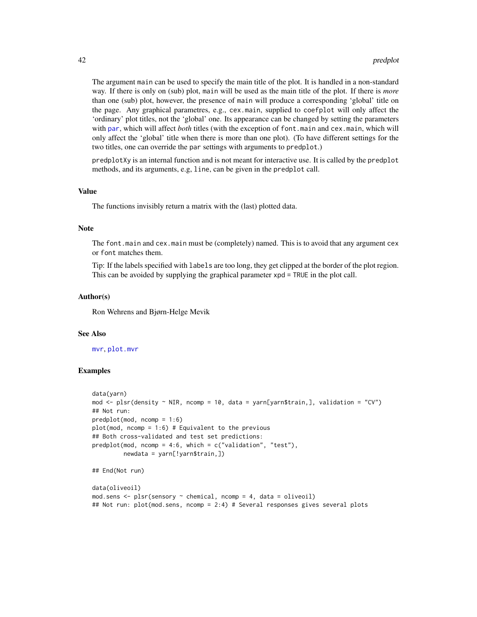The argument main can be used to specify the main title of the plot. It is handled in a non-standard way. If there is only on (sub) plot, main will be used as the main title of the plot. If there is *more* than one (sub) plot, however, the presence of main will produce a corresponding 'global' title on the page. Any graphical parametres, e.g., cex.main, supplied to coefplot will only affect the 'ordinary' plot titles, not the 'global' one. Its appearance can be changed by setting the parameters with [par](#page-0-0), which will affect *both* titles (with the exception of font.main and cex.main, which will only affect the 'global' title when there is more than one plot). (To have different settings for the two titles, one can override the par settings with arguments to predplot.)

predplotXy is an internal function and is not meant for interactive use. It is called by the predplot methods, and its arguments, e.g, line, can be given in the predplot call.

#### Value

The functions invisibly return a matrix with the (last) plotted data.

#### **Note**

The font.main and cex.main must be (completely) named. This is to avoid that any argument cex or font matches them.

Tip: If the labels specified with labels are too long, they get clipped at the border of the plot region. This can be avoided by supplying the graphical parameter xpd = TRUE in the plot call.

#### Author(s)

Ron Wehrens and Bjørn-Helge Mevik

#### See Also

[mvr](#page-22-1), [plot.mvr](#page-34-1)

#### Examples

```
data(yarn)
mod <- plsr(density ~ NIR, ncomp = 10, data = yarn[yarn$train,], validation = "CV")
## Not run:
predplot(mod, ncomp = 1:6)
plot(mod, ncomp = 1:6) # Equivalent to the previous
## Both cross-validated and test set predictions:
predplot(mod, ncomp = 4:6, which = c("validation", "test"),
        newdata = yarn[!yarn$train,])
## End(Not run)
data(oliveoil)
mod.sens <- plsr(sensory ~ chemical, ncomp = 4, data = oliveoil)
## Not run: plot(mod.sens, ncomp = 2:4) # Several responses gives several plots
```
<span id="page-41-0"></span>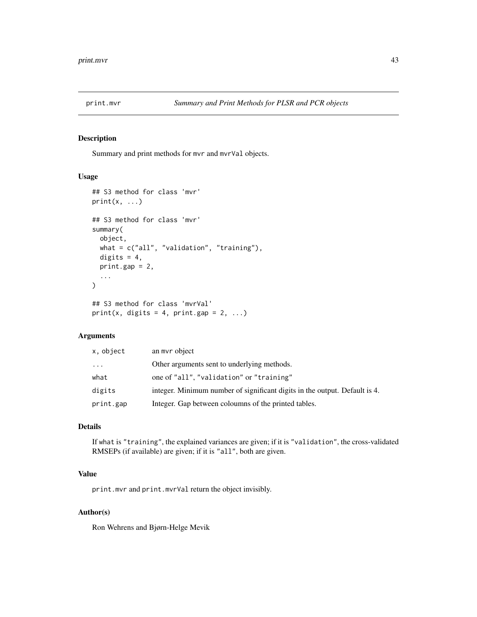<span id="page-42-0"></span>

## <span id="page-42-1"></span>Description

Summary and print methods for mvr and mvrVal objects.

#### Usage

```
## S3 method for class 'mvr'
print(x, \ldots)## S3 method for class 'mvr'
summary(
 object,
 what = c("all", "validation", "training"),
  digits = 4,
 print.gap = 2,
  ...
)
## S3 method for class 'mvrVal'
print(x, digits = 4, print.gap = 2, ...)
```
## Arguments

| x, object | an myr object                                                              |
|-----------|----------------------------------------------------------------------------|
| $\cdots$  | Other arguments sent to underlying methods.                                |
| what      | one of "all", "validation" or "training"                                   |
| digits    | integer. Minimum number of significant digits in the output. Default is 4. |
| print.gap | Integer. Gap between coloumns of the printed tables.                       |

## Details

If what is "training", the explained variances are given; if it is "validation", the cross-validated RMSEPs (if available) are given; if it is "all", both are given.

## Value

print.mvr and print.mvrVal return the object invisibly.

#### Author(s)

Ron Wehrens and Bjørn-Helge Mevik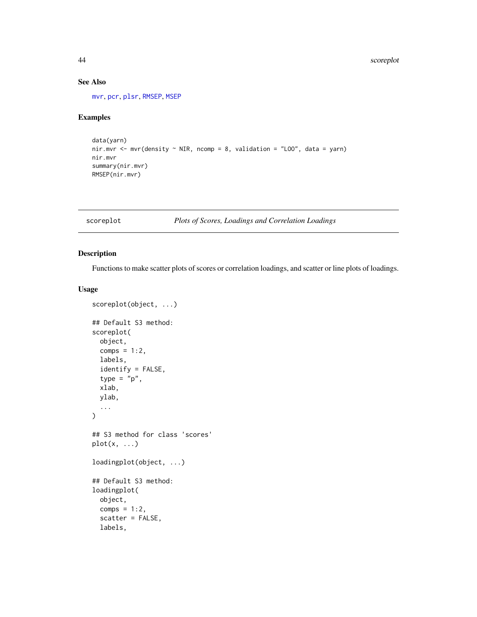## See Also

[mvr](#page-22-1), [pcr](#page-22-2), [plsr](#page-22-2), [RMSEP](#page-29-1), [MSEP](#page-29-1)

## Examples

```
data(yarn)
nir.mvr <- mvr(density \sim NIR, ncomp = 8, validation = "LOO", data = yarn)
nir.mvr
summary(nir.mvr)
RMSEP(nir.mvr)
```
<span id="page-43-1"></span>scoreplot *Plots of Scores, Loadings and Correlation Loadings*

## <span id="page-43-2"></span>Description

Functions to make scatter plots of scores or correlation loadings, and scatter or line plots of loadings.

## Usage

```
scoreplot(object, ...)
## Default S3 method:
scoreplot(
  object,
  comps = 1:2,
  labels,
  identify = FALSE,
  type = "p",xlab,
 ylab,
  ...
)
## S3 method for class 'scores'
plot(x, \ldots)loadingplot(object, ...)
## Default S3 method:
loadingplot(
 object,
  comps = 1:2,
  scatter = FALSE,
  labels,
```
<span id="page-43-0"></span>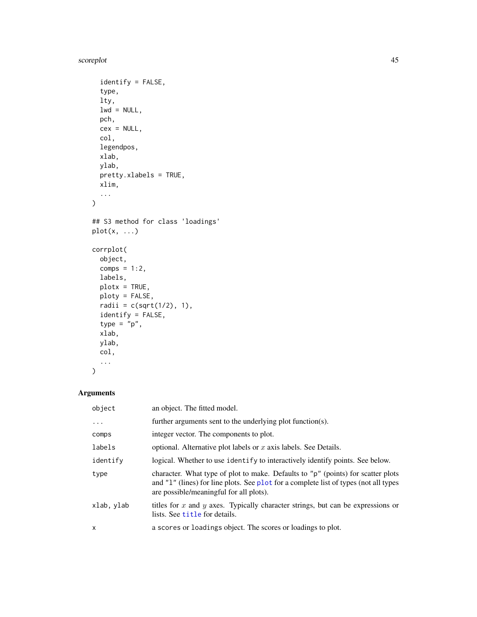<span id="page-44-0"></span>scoreplot that the set of the set of the set of the set of the set of the set of the set of the set of the set of the set of the set of the set of the set of the set of the set of the set of the set of the set of the set o

```
identity = FALSE,type,
  lty,
 lwd = NULL,pch,
 cex = NULL,col,
 legendpos,
 xlab,
 ylab,
 pretty.xlabels = TRUE,
 xlim,
  ...
\mathcal{L}## S3 method for class 'loadings'
plot(x, ...)
corrplot(
  object,
 comps = 1:2,
 labels,
 plotx = TRUE,
 ploty = FALSE,
 radii = c(sqrt(1/2), 1),identify = FALSE,
  type = "p",xlab,
 ylab,
 col,
  ...
\mathcal{L}
```

| object     | an object. The fitted model.                                                                                                                                                                                        |
|------------|---------------------------------------------------------------------------------------------------------------------------------------------------------------------------------------------------------------------|
| .          | further arguments sent to the underlying plot function(s).                                                                                                                                                          |
| comps      | integer vector. The components to plot.                                                                                                                                                                             |
| labels     | optional. Alternative plot labels or $x$ axis labels. See Details.                                                                                                                                                  |
| identify   | logical. Whether to use identify to interactively identify points. See below.                                                                                                                                       |
| type       | character. What type of plot to make. Defaults to "p" (points) for scatter plots<br>and "1" (lines) for line plots. See plot for a complete list of types (not all types<br>are possible/meaningful for all plots). |
| xlab, ylab | titles for $x$ and $y$ axes. Typically character strings, but can be expressions or<br>lists. See title for details.                                                                                                |
| X          | a scores or loadings object. The scores or loadings to plot.                                                                                                                                                        |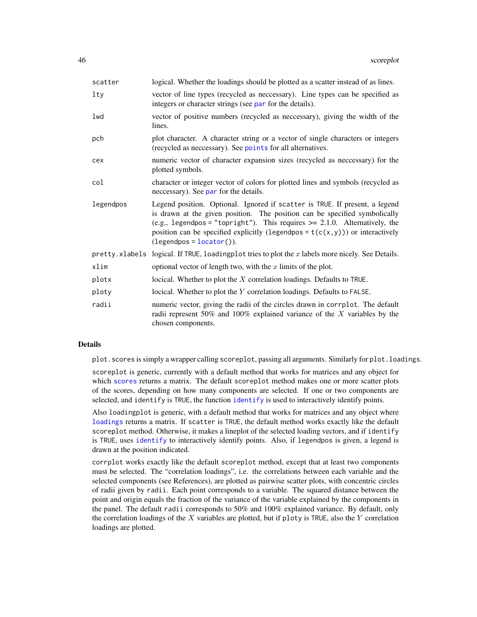<span id="page-45-0"></span>

| scatter         | logical. Whether the loadings should be plotted as a scatter instead of as lines.                                                                                                                                                                                                                                                                            |
|-----------------|--------------------------------------------------------------------------------------------------------------------------------------------------------------------------------------------------------------------------------------------------------------------------------------------------------------------------------------------------------------|
| 1 <sub>ty</sub> | vector of line types (recycled as neccessary). Line types can be specified as<br>integers or character strings (see par for the details).                                                                                                                                                                                                                    |
| lwd             | vector of positive numbers (recycled as neccessary), giving the width of the<br>lines.                                                                                                                                                                                                                                                                       |
| pch             | plot character. A character string or a vector of single characters or integers<br>(recycled as neccessary). See points for all alternatives.                                                                                                                                                                                                                |
| cex             | numeric vector of character expansion sizes (recycled as necessary) for the<br>plotted symbols.                                                                                                                                                                                                                                                              |
| col             | character or integer vector of colors for plotted lines and symbols (recycled as<br>necessary). See par for the details.                                                                                                                                                                                                                                     |
| legendpos       | Legend position. Optional. Ignored if scatter is TRUE. If present, a legend<br>is drawn at the given position. The position can be specified symbolically<br>(e.g., legendpos = "topright"). This requires $\ge$ 2.1.0. Alternatively, the<br>position can be specified explicitly (legendpos = $t(c(x, y))$ ) or interactively<br>$(legendpos = locator)).$ |
|                 | pretty. xlabels logical. If TRUE, loading plot tries to plot the $x$ labels more nicely. See Details.                                                                                                                                                                                                                                                        |
| xlim            | optional vector of length two, with the $x$ limits of the plot.                                                                                                                                                                                                                                                                                              |
| plotx           | locical. Whether to plot the $X$ correlation loadings. Defaults to TRUE.                                                                                                                                                                                                                                                                                     |
| ploty           | locical. Whether to plot the Y correlation loadings. Defaults to FALSE.                                                                                                                                                                                                                                                                                      |
| radii           | numeric vector, giving the radii of the circles drawn in corrplot. The default<br>radii represent 50% and 100% explained variance of the $X$ variables by the<br>chosen components.                                                                                                                                                                          |

## Details

plot.scores is simply a wrapper calling scoreplot, passing all arguments. Similarly for plot.loadings.

scoreplot is generic, currently with a default method that works for matrices and any object for which [scores](#page-47-2) returns a matrix. The default scoreplot method makes one or more scatter plots of the scores, depending on how many components are selected. If one or two components are selected, and identify is TRUE, the function [identify](#page-0-0) is used to interactively identify points.

Also loadingplot is generic, with a default method that works for matrices and any object where [loadings](#page-47-1) returns a matrix. If scatter is TRUE, the default method works exactly like the default scoreplot method. Otherwise, it makes a lineplot of the selected loading vectors, and if identify is TRUE, uses [identify](#page-0-0) to interactively identify points. Also, if legendpos is given, a legend is drawn at the position indicated.

corrplot works exactly like the default scoreplot method, except that at least two components must be selected. The "correlation loadings", i.e. the correlations between each variable and the selected components (see References), are plotted as pairwise scatter plots, with concentric circles of radii given by radii. Each point corresponds to a variable. The squared distance between the point and origin equals the fraction of the variance of the variable explained by the components in the panel. The default radii corresponds to 50% and 100% explained variance. By default, only the correlation loadings of the  $X$  variables are plotted, but if ploty is TRUE, also the  $Y$  correlation loadings are plotted.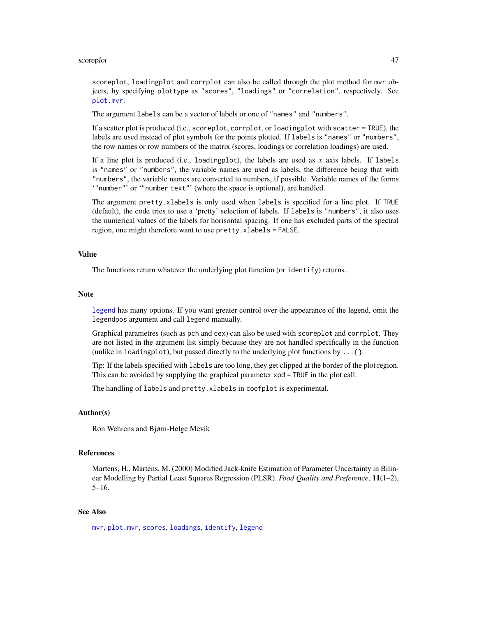#### <span id="page-46-0"></span>scoreplot that the second state of the second state of the second state of the second state of the second state of the second state of the second state of the second state of the second state of the second state of the sec

scoreplot, loadingplot and corrplot can also be called through the plot method for mvr objects, by specifying plottype as "scores", "loadings" or "correlation", respectively. See [plot.mvr](#page-34-1).

The argument labels can be a vector of labels or one of "names" and "numbers".

If a scatter plot is produced (i.e., scoreplot, corrplot, or loadingplot with scatter = TRUE), the labels are used instead of plot symbols for the points plotted. If labels is "names" or "numbers", the row names or row numbers of the matrix (scores, loadings or correlation loadings) are used.

If a line plot is produced (i.e., loadingplot), the labels are used as x axis labels. If labels is "names" or "numbers", the variable names are used as labels, the difference being that with "numbers", the variable names are converted to numbers, if possible. Variable names of the forms '"number"' or '"number text"' (where the space is optional), are handled.

The argument pretty.xlabels is only used when labels is specified for a line plot. If TRUE (default), the code tries to use a 'pretty' selection of labels. If labels is "numbers", it also uses the numerical values of the labels for horisontal spacing. If one has excluded parts of the spectral region, one might therefore want to use pretty.xlabels = FALSE.

## Value

The functions return whatever the underlying plot function (or identify) returns.

#### **Note**

[legend](#page-0-0) has many options. If you want greater control over the appearance of the legend, omit the legendpos argument and call legend manually.

Graphical parametres (such as pch and cex) can also be used with scoreplot and corrplot. They are not listed in the argument list simply because they are not handled specifically in the function (unlike in loadingplot), but passed directly to the underlying plot functions by  $\dots$  { }.

Tip: If the labels specified with labels are too long, they get clipped at the border of the plot region. This can be avoided by supplying the graphical parameter xpd = TRUE in the plot call.

The handling of labels and pretty.xlabels in coefplot is experimental.

#### Author(s)

Ron Wehrens and Bjørn-Helge Mevik

#### References

Martens, H., Martens, M. (2000) Modified Jack-knife Estimation of Parameter Uncertainty in Bilinear Modelling by Partial Least Squares Regression (PLSR). *Food Quality and Preference*, 11(1–2), 5–16.

#### See Also

[mvr](#page-22-1), [plot.mvr](#page-34-1), [scores](#page-47-2), [loadings](#page-47-1), [identify](#page-0-0), [legend](#page-0-0)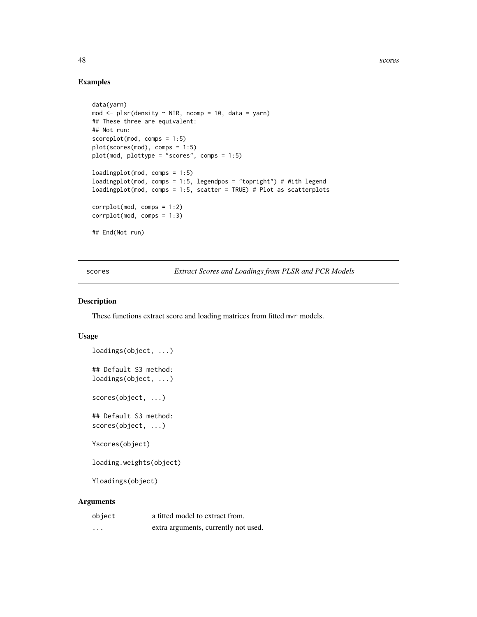48 scores

## Examples

```
data(yarn)
mod \leq plsr(density \sim NIR, ncomp = 10, data = yarn)
## These three are equivalent:
## Not run:
scoreplot(mod, comps = 1:5)
plot(scores(mod), comps = 1:5)
plot(mod, plottype = "scores", comps = 1:5)
loadingplot(mod, comps = 1:5)
loadingplot(mod, comps = 1:5, legendpos = "topright") # With legend
loadingplot(mod, comps = 1:5, scatter = TRUE) # Plot as scatterplots
corrplot(mod, comps = 1:2)
corrplot(mod, comps = 1:3)
## End(Not run)
```
scores *Extract Scores and Loadings from PLSR and PCR Models*

#### <span id="page-47-1"></span>Description

These functions extract score and loading matrices from fitted mvr models.

#### Usage

```
loadings(object, ...)
## Default S3 method:
loadings(object, ...)
scores(object, ...)
## Default S3 method:
scores(object, ...)
Yscores(object)
loading.weights(object)
Yloadings(object)
```

| object  | a fitted model to extract from.      |
|---------|--------------------------------------|
| $\cdot$ | extra arguments, currently not used. |

<span id="page-47-0"></span>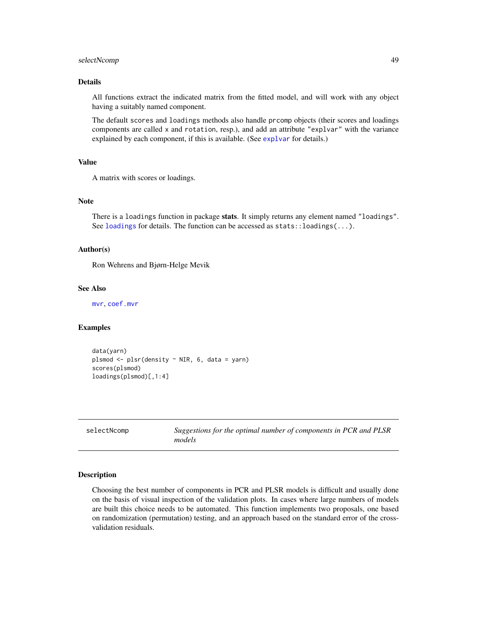## <span id="page-48-0"></span>selectNcomp 49

#### Details

All functions extract the indicated matrix from the fitted model, and will work with any object having a suitably named component.

The default scores and loadings methods also handle prcomp objects (their scores and loadings components are called x and rotation, resp.), and add an attribute "explvar" with the variance explained by each component, if this is available. (See [explvar](#page-3-2) for details.)

#### Value

A matrix with scores or loadings.

#### Note

There is a loadings function in package stats. It simply returns any element named "loadings". See [loadings](#page-47-1) for details. The function can be accessed as stats::loadings(...).

#### Author(s)

Ron Wehrens and Bjørn-Helge Mevik

#### See Also

[mvr](#page-22-1), [coef.mvr](#page-3-1)

#### Examples

```
data(yarn)
plsmod <- plsr(density ~ NIR, 6, data = yarn)
scores(plsmod)
loadings(plsmod)[,1:4]
```
selectNcomp *Suggestions for the optimal number of components in PCR and PLSR models*

#### Description

Choosing the best number of components in PCR and PLSR models is difficult and usually done on the basis of visual inspection of the validation plots. In cases where large numbers of models are built this choice needs to be automated. This function implements two proposals, one based on randomization (permutation) testing, and an approach based on the standard error of the crossvalidation residuals.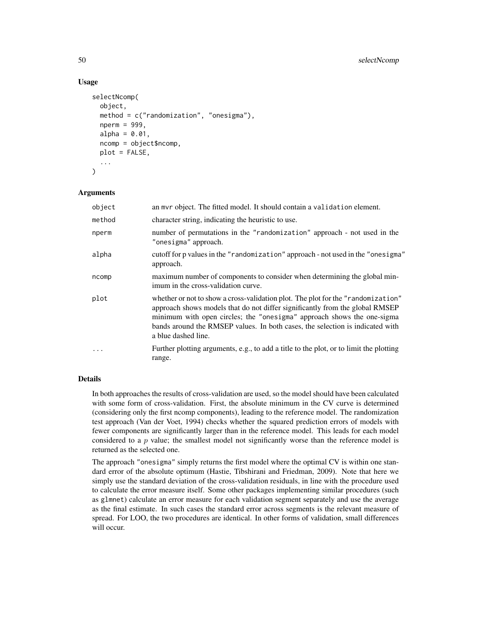## Usage

```
selectNcomp(
  object,
  method = c("randomization", "onesigma"),
  nperm = 999,
  alpha = 0.01,
  ncomp = object$ncomp,
 plot = FALSE,
  ...
)
```
## Arguments

| object | an mvr object. The fitted model. It should contain a validation element.                                                                                                                                                                                                                                                                           |
|--------|----------------------------------------------------------------------------------------------------------------------------------------------------------------------------------------------------------------------------------------------------------------------------------------------------------------------------------------------------|
| method | character string, indicating the heuristic to use.                                                                                                                                                                                                                                                                                                 |
| nperm  | number of permutations in the "randomization" approach - not used in the<br>"onesigma" approach.                                                                                                                                                                                                                                                   |
| alpha  | cutoff for p values in the "randomization" approach - not used in the "onesigma"<br>approach.                                                                                                                                                                                                                                                      |
| ncomp  | maximum number of components to consider when determining the global min-<br>imum in the cross-validation curve.                                                                                                                                                                                                                                   |
| plot   | whether or not to show a cross-validation plot. The plot for the "randomization"<br>approach shows models that do not differ significantly from the global RMSEP<br>minimum with open circles; the "onesigma" approach shows the one-sigma<br>bands around the RMSEP values. In both cases, the selection is indicated with<br>a blue dashed line. |
| .      | Further plotting arguments, e.g., to add a title to the plot, or to limit the plotting<br>range.                                                                                                                                                                                                                                                   |

## Details

In both approaches the results of cross-validation are used, so the model should have been calculated with some form of cross-validation. First, the absolute minimum in the CV curve is determined (considering only the first ncomp components), leading to the reference model. The randomization test approach (Van der Voet, 1994) checks whether the squared prediction errors of models with fewer components are significantly larger than in the reference model. This leads for each model considered to a  $p$  value; the smallest model not significantly worse than the reference model is returned as the selected one.

The approach "onesigma" simply returns the first model where the optimal CV is within one standard error of the absolute optimum (Hastie, Tibshirani and Friedman, 2009). Note that here we simply use the standard deviation of the cross-validation residuals, in line with the procedure used to calculate the error measure itself. Some other packages implementing similar procedures (such as glmnet) calculate an error measure for each validation segment separately and use the average as the final estimate. In such cases the standard error across segments is the relevant measure of spread. For LOO, the two procedures are identical. In other forms of validation, small differences will occur.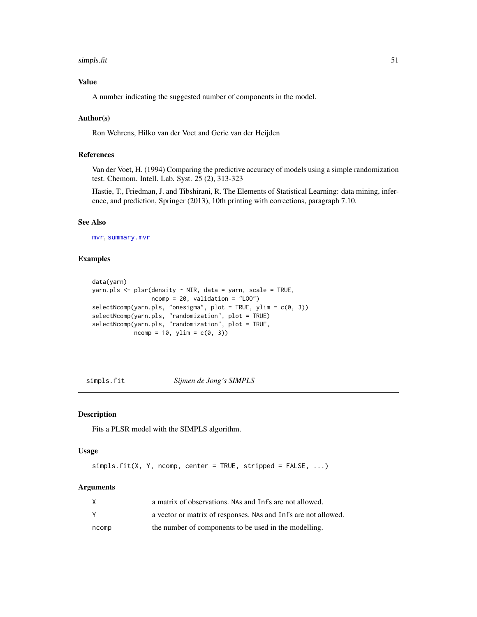#### <span id="page-50-0"></span>simpls.fit 51

## Value

A number indicating the suggested number of components in the model.

## Author(s)

Ron Wehrens, Hilko van der Voet and Gerie van der Heijden

## References

Van der Voet, H. (1994) Comparing the predictive accuracy of models using a simple randomization test. Chemom. Intell. Lab. Syst. 25 (2), 313-323

Hastie, T., Friedman, J. and Tibshirani, R. The Elements of Statistical Learning: data mining, inference, and prediction, Springer (2013), 10th printing with corrections, paragraph 7.10.

## See Also

[mvr](#page-22-1), [summary.mvr](#page-42-1)

#### Examples

```
data(yarn)
yarn.pls <- plsr(density ~ NIR, data = yarn, scale = TRUE,
                 ncomp = 20, validation = "LOO")
selectNcomp(yarn.pls, "onesigma", plot = TRUE, ylim = c(0, 3))
selectNcomp(yarn.pls, "randomization", plot = TRUE)
selectNcomp(yarn.pls, "randomization", plot = TRUE,
            ncomp = 10, ylim = c(0, 3)
```
<span id="page-50-1"></span>simpls.fit *Sijmen de Jong's SIMPLS*

#### Description

Fits a PLSR model with the SIMPLS algorithm.

## Usage

simpls.fit(X, Y, ncomp, center = TRUE, stripped = FALSE, ...)

|       | a matrix of observations. NAs and Infs are not allowed.        |
|-------|----------------------------------------------------------------|
|       | a vector or matrix of responses. NAs and Infs are not allowed. |
| ncomp | the number of components to be used in the modelling.          |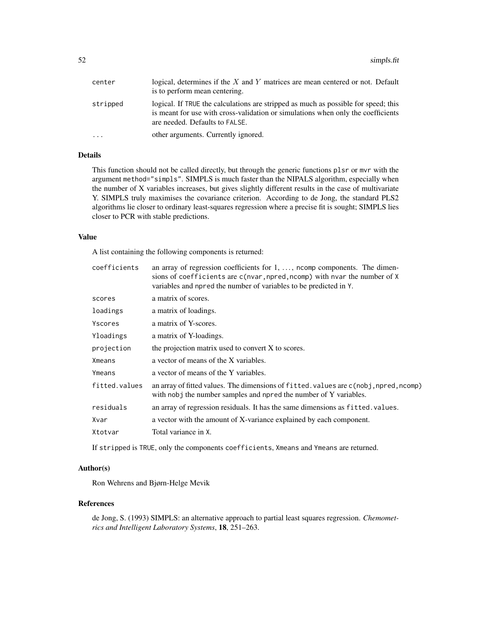| center   | logical, determines if the $X$ and $Y$ matrices are mean centered or not. Default<br>is to perform mean centering.                                                                                       |
|----------|----------------------------------------------------------------------------------------------------------------------------------------------------------------------------------------------------------|
| stripped | logical. If TRUE the calculations are stripped as much as possible for speed; this<br>is meant for use with cross-validation or simulations when only the coefficients<br>are needed. Defaults to FALSE. |
| $\cdot$  | other arguments. Currently ignored.                                                                                                                                                                      |

## Details

This function should not be called directly, but through the generic functions plsr or mvr with the argument method="simpls". SIMPLS is much faster than the NIPALS algorithm, especially when the number of X variables increases, but gives slightly different results in the case of multivariate Y. SIMPLS truly maximises the covariance criterion. According to de Jong, the standard PLS2 algorithms lie closer to ordinary least-squares regression where a precise fit is sought; SIMPLS lies closer to PCR with stable predictions.

#### Value

A list containing the following components is returned:

| coefficients  | an array of regression coefficients for $1, \ldots$ , noomp components. The dimen-<br>sions of coefficients are c(nvar, npred, ncomp) with nvar the number of X<br>variables and npred the number of variables to be predicted in Y. |
|---------------|--------------------------------------------------------------------------------------------------------------------------------------------------------------------------------------------------------------------------------------|
| scores        | a matrix of scores.                                                                                                                                                                                                                  |
| loadings      | a matrix of loadings.                                                                                                                                                                                                                |
| Yscores       | a matrix of Y-scores.                                                                                                                                                                                                                |
| Yloadings     | a matrix of Y-loadings.                                                                                                                                                                                                              |
| projection    | the projection matrix used to convert X to scores.                                                                                                                                                                                   |
| Xmeans        | a vector of means of the X variables.                                                                                                                                                                                                |
| Ymeans        | a vector of means of the Y variables.                                                                                                                                                                                                |
| fitted.values | an array of fitted values. The dimensions of fitted values are c(nobj, npred, ncomp)<br>with nobj the number samples and npred the number of Y variables.                                                                            |
| residuals     | an array of regression residuals. It has the same dimensions as fitted, values.                                                                                                                                                      |
| Xvar          | a vector with the amount of X-variance explained by each component.                                                                                                                                                                  |
| Xtotvar       | Total variance in X.                                                                                                                                                                                                                 |

If stripped is TRUE, only the components coefficients, Xmeans and Ymeans are returned.

#### Author(s)

Ron Wehrens and Bjørn-Helge Mevik

#### References

de Jong, S. (1993) SIMPLS: an alternative approach to partial least squares regression. *Chemometrics and Intelligent Laboratory Systems*, 18, 251–263.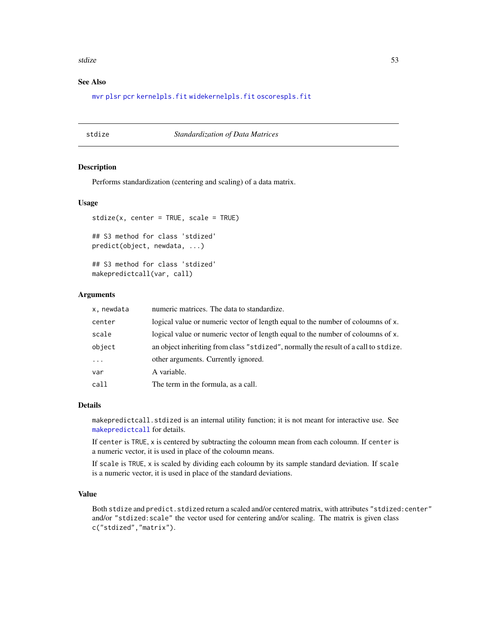#### <span id="page-52-0"></span>stdize 53

## See Also

[mvr](#page-22-1) [plsr](#page-22-2) [pcr](#page-22-2) [kernelpls.fit](#page-18-1) [widekernelpls.fit](#page-59-1) [oscorespls.fit](#page-32-1)

#### <span id="page-52-1"></span>stdize *Standardization of Data Matrices*

## Description

Performs standardization (centering and scaling) of a data matrix.

#### Usage

```
stdize(x, center = TRUE, scale = TRUE)## S3 method for class 'stdized'
predict(object, newdata, ...)
## S3 method for class 'stdized'
makepredictcall(var, call)
```
#### **Arguments**

| x, newdata | numeric matrices. The data to standardize.                                          |
|------------|-------------------------------------------------------------------------------------|
| center     | logical value or numeric vector of length equal to the number of coloumns of x.     |
| scale      | logical value or numeric vector of length equal to the number of coloumns of x.     |
| object     | an object inheriting from class "stdized", normally the result of a call to stdize. |
| $\cdots$   | other arguments. Currently ignored.                                                 |
| var        | A variable.                                                                         |
| call       | The term in the formula, as a call.                                                 |

#### Details

makepredictcall.stdized is an internal utility function; it is not meant for interactive use. See [makepredictcall](#page-0-0) for details.

If center is TRUE, x is centered by subtracting the coloumn mean from each coloumn. If center is a numeric vector, it is used in place of the coloumn means.

If scale is TRUE, x is scaled by dividing each coloumn by its sample standard deviation. If scale is a numeric vector, it is used in place of the standard deviations.

#### Value

Both stdize and predict.stdized return a scaled and/or centered matrix, with attributes "stdized: center" and/or "stdized: scale" the vector used for centering and/or scaling. The matrix is given class c("stdized","matrix").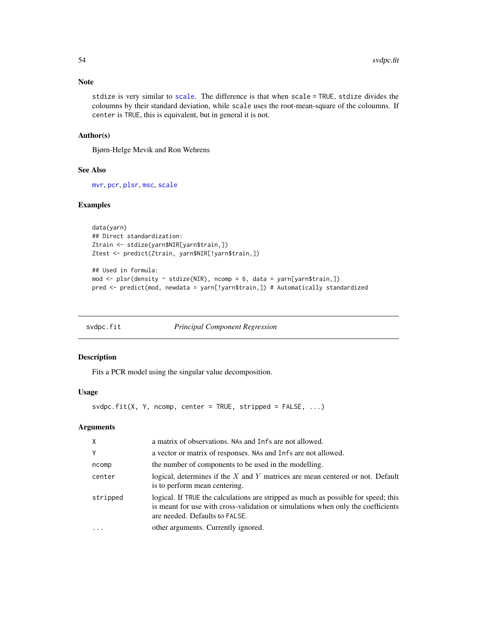#### Note

stdize is very similar to [scale](#page-0-0). The difference is that when scale = TRUE, stdize divides the coloumns by their standard deviation, while scale uses the root-mean-square of the coloumns. If center is TRUE, this is equivalent, but in general it is not.

#### Author(s)

Bjørn-Helge Mevik and Ron Wehrens

## See Also

[mvr](#page-22-1), [pcr](#page-22-2), [plsr](#page-22-2), [msc](#page-20-1), [scale](#page-0-0)

## Examples

```
data(yarn)
## Direct standardization:
Ztrain <- stdize(yarn$NIR[yarn$train,])
Ztest <- predict(Ztrain, yarn$NIR[!yarn$train,])
```

```
## Used in formula:
mod <- plsr(density ~ stdize(NIR), ncomp = 6, data = yarn[yarn$train,])
pred <- predict(mod, newdata = yarn[!yarn$train,]) # Automatically standardized
```
<span id="page-53-1"></span>

| svdpc.fit | <b>Principal Component Regression</b> |  |
|-----------|---------------------------------------|--|
|           |                                       |  |

#### Description

Fits a PCR model using the singular value decomposition.

#### Usage

```
svdpc.fit(X, Y, ncomp, center = TRUE, stripped = FALSE, ...)
```

| X        | a matrix of observations. NAs and Infs are not allowed.                                                                                                                                                  |
|----------|----------------------------------------------------------------------------------------------------------------------------------------------------------------------------------------------------------|
| Y        | a vector or matrix of responses. NAs and Infs are not allowed.                                                                                                                                           |
| ncomp    | the number of components to be used in the modelling.                                                                                                                                                    |
| center   | logical, determines if the $X$ and $Y$ matrices are mean centered or not. Default<br>is to perform mean centering.                                                                                       |
| stripped | logical. If TRUE the calculations are stripped as much as possible for speed; this<br>is meant for use with cross-validation or simulations when only the coefficients<br>are needed. Defaults to FALSE. |
|          | other arguments. Currently ignored.                                                                                                                                                                      |

<span id="page-53-0"></span>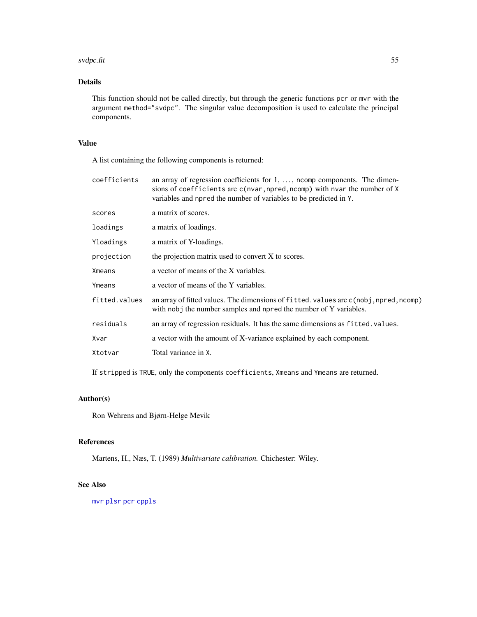#### <span id="page-54-0"></span>svdpc.fit 55

## Details

This function should not be called directly, but through the generic functions pcr or mvr with the argument method="svdpc". The singular value decomposition is used to calculate the principal components.

## Value

A list containing the following components is returned:

| coefficients  | an array of regression coefficients for $1, \ldots$ , noomp components. The dimen-<br>sions of coefficients are c(nvar, npred, ncomp) with nvar the number of X<br>variables and npred the number of variables to be predicted in Y. |
|---------------|--------------------------------------------------------------------------------------------------------------------------------------------------------------------------------------------------------------------------------------|
| scores        | a matrix of scores.                                                                                                                                                                                                                  |
| loadings      | a matrix of loadings.                                                                                                                                                                                                                |
| Yloadings     | a matrix of Y-loadings.                                                                                                                                                                                                              |
| projection    | the projection matrix used to convert X to scores.                                                                                                                                                                                   |
| Xmeans        | a vector of means of the X variables.                                                                                                                                                                                                |
| Ymeans        | a vector of means of the Y variables.                                                                                                                                                                                                |
| fitted.values | an array of fitted values. The dimensions of fitted values are c(nobj, npred, ncomp)<br>with nobj the number samples and npred the number of Y variables.                                                                            |
| residuals     | an array of regression residuals. It has the same dimensions as fitted. values.                                                                                                                                                      |
| Xvar          | a vector with the amount of X-variance explained by each component.                                                                                                                                                                  |
| Xtotvar       | Total variance in X.                                                                                                                                                                                                                 |
|               |                                                                                                                                                                                                                                      |

If stripped is TRUE, only the components coefficients, Xmeans and Ymeans are returned.

## Author(s)

Ron Wehrens and Bjørn-Helge Mevik

## References

Martens, H., Næs, T. (1989) *Multivariate calibration.* Chichester: Wiley.

## See Also

[mvr](#page-22-1) [plsr](#page-22-2) [pcr](#page-22-2) [cppls](#page-22-2)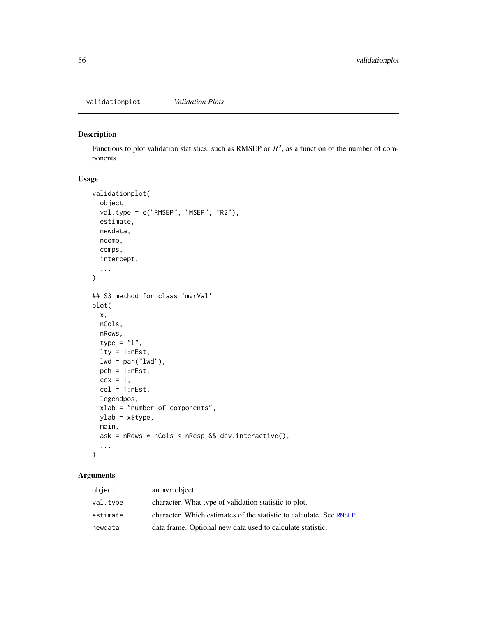<span id="page-55-1"></span><span id="page-55-0"></span>validationplot *Validation Plots*

## <span id="page-55-2"></span>Description

Functions to plot validation statistics, such as RMSEP or  $R^2$ , as a function of the number of components.

## Usage

```
validationplot(
 object,
  val.type = c("RMSEP", "MSEP", "R2"),
  estimate,
 newdata,
 ncomp,
 comps,
  intercept,
  ...
)
## S3 method for class 'mvrVal'
plot(
  x,
 nCols,
 nRows,
  type = "1",lty = 1:nEst,lwd = par("lwd"),
 pch = 1:nEst,cex = 1,
  col = 1:nEst,legendpos,
 xlab = "number of components",
 ylab = x$type,
 main,
  ask = nRows * nCols < nResp && dev.interactive(),
  ...
\mathcal{L}
```

| object   | an myr object.                                                       |
|----------|----------------------------------------------------------------------|
| val.type | character. What type of validation statistic to plot.                |
| estimate | character. Which estimates of the statistic to calculate. See RMSEP. |
| newdata  | data frame. Optional new data used to calculate statistic.           |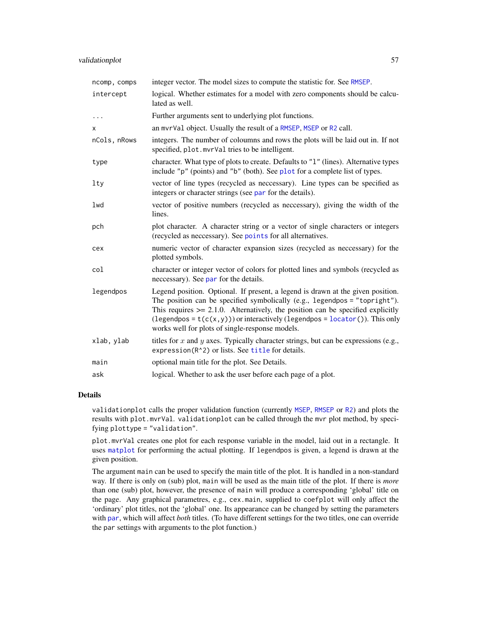<span id="page-56-0"></span>

| ncomp, comps | integer vector. The model sizes to compute the statistic for. See RMSEP.                                                                                                                                                                                                                                                                                                                  |
|--------------|-------------------------------------------------------------------------------------------------------------------------------------------------------------------------------------------------------------------------------------------------------------------------------------------------------------------------------------------------------------------------------------------|
| intercept    | logical. Whether estimates for a model with zero components should be calcu-<br>lated as well.                                                                                                                                                                                                                                                                                            |
| $\cdots$     | Further arguments sent to underlying plot functions.                                                                                                                                                                                                                                                                                                                                      |
| X            | an mvrVal object. Usually the result of a RMSEP, MSEP or R2 call.                                                                                                                                                                                                                                                                                                                         |
| nCols, nRows | integers. The number of coloumns and rows the plots will be laid out in. If not<br>specified, plot.mvrVal tries to be intelligent.                                                                                                                                                                                                                                                        |
| type         | character. What type of plots to create. Defaults to "1" (lines). Alternative types<br>include "p" (points) and "b" (both). See plot for a complete list of types.                                                                                                                                                                                                                        |
| lty          | vector of line types (recycled as neccessary). Line types can be specified as<br>integers or character strings (see par for the details).                                                                                                                                                                                                                                                 |
| lwd          | vector of positive numbers (recycled as neccessary), giving the width of the<br>lines.                                                                                                                                                                                                                                                                                                    |
| pch          | plot character. A character string or a vector of single characters or integers<br>(recycled as neccessary). See points for all alternatives.                                                                                                                                                                                                                                             |
| cex          | numeric vector of character expansion sizes (recycled as neccessary) for the<br>plotted symbols.                                                                                                                                                                                                                                                                                          |
| col          | character or integer vector of colors for plotted lines and symbols (recycled as<br>neccessary). See par for the details.                                                                                                                                                                                                                                                                 |
| legendpos    | Legend position. Optional. If present, a legend is drawn at the given position.<br>The position can be specified symbolically (e.g., legendpos = "topright").<br>This requires $\ge$ 2.1.0. Alternatively, the position can be specified explicitly<br>(legendpos = $t(c(x, y))$ ) or interactively (legendpos = locator()). This only<br>works well for plots of single-response models. |
| xlab, ylab   | titles for x and y axes. Typically character strings, but can be expressions (e.g.,<br>expression(R^2) or lists. See title for details.                                                                                                                                                                                                                                                   |
| main         | optional main title for the plot. See Details.                                                                                                                                                                                                                                                                                                                                            |
| ask          | logical. Whether to ask the user before each page of a plot.                                                                                                                                                                                                                                                                                                                              |

## Details

validationplot calls the proper validation function (currently [MSEP](#page-29-1), [RMSEP](#page-29-1) or [R2](#page-29-1)) and plots the results with plot.mvrVal. validationplot can be called through the mvr plot method, by specifying plottype = "validation".

plot.mvrVal creates one plot for each response variable in the model, laid out in a rectangle. It uses [matplot](#page-0-0) for performing the actual plotting. If legendpos is given, a legend is drawn at the given position.

The argument main can be used to specify the main title of the plot. It is handled in a non-standard way. If there is only on (sub) plot, main will be used as the main title of the plot. If there is *more* than one (sub) plot, however, the presence of main will produce a corresponding 'global' title on the page. Any graphical parametres, e.g., cex.main, supplied to coefplot will only affect the 'ordinary' plot titles, not the 'global' one. Its appearance can be changed by setting the parameters with [par](#page-0-0), which will affect *both* titles. (To have different settings for the two titles, one can override the par settings with arguments to the plot function.)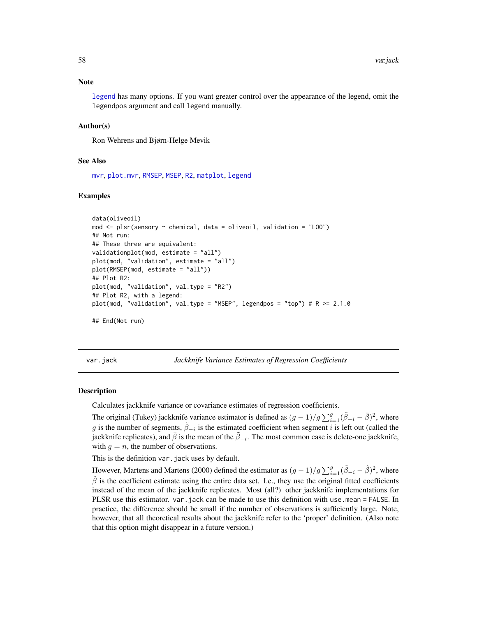<span id="page-57-0"></span>[legend](#page-0-0) has many options. If you want greater control over the appearance of the legend, omit the legendpos argument and call legend manually.

#### Author(s)

Ron Wehrens and Bjørn-Helge Mevik

#### See Also

[mvr](#page-22-1), [plot.mvr](#page-34-1), [RMSEP](#page-29-1), [MSEP](#page-29-1), [R2](#page-29-1), [matplot](#page-0-0), [legend](#page-0-0)

#### Examples

```
data(oliveoil)
mod <- plsr(sensory ~ chemical, data = oliveoil, validation = "LOO")
## Not run:
## These three are equivalent:
validationplot(mod, estimate = "all")
plot(mod, "validation", estimate = "all")
plot(RMSEP(mod, estimate = "all"))
## Plot R2:
plot(mod, "validation", val.type = "R2")
## Plot R2, with a legend:
plot(mod, "validation", val.type = "MSEP", legendpos = "top") # R >= 2.1.0
## End(Not run)
```
<span id="page-57-1"></span>var.jack *Jackknife Variance Estimates of Regression Coefficients*

#### **Description**

Calculates jackknife variance or covariance estimates of regression coefficients.

The original (Tukey) jackknife variance estimator is defined as  $(g-1)/g\sum_{i=1}^{g}(\tilde{\beta}_{-i}-\bar{\beta})^2$ , where g is the number of segments,  $\tilde{\beta}_{-i}$  is the estimated coefficient when segment i is left out (called the jackknife replicates), and  $\bar{\beta}$  is the mean of the  $\tilde{\beta}_{-i}$ . The most common case is delete-one jackknife, with  $g = n$ , the number of observations.

This is the definition var. jack uses by default.

However, Martens and Martens (2000) defined the estimator as  $(g-1)/g\sum_{i=1}^g(\tilde{\beta}_{-i}-\hat{\beta})^2$ , where  $\hat{\beta}$  is the coefficient estimate using the entire data set. I.e., they use the original fitted coefficients instead of the mean of the jackknife replicates. Most (all?) other jackknife implementations for PLSR use this estimator. var.jack can be made to use this definition with use.mean = FALSE. In practice, the difference should be small if the number of observations is sufficiently large. Note, however, that all theoretical results about the jackknife refer to the 'proper' definition. (Also note that this option might disappear in a future version.)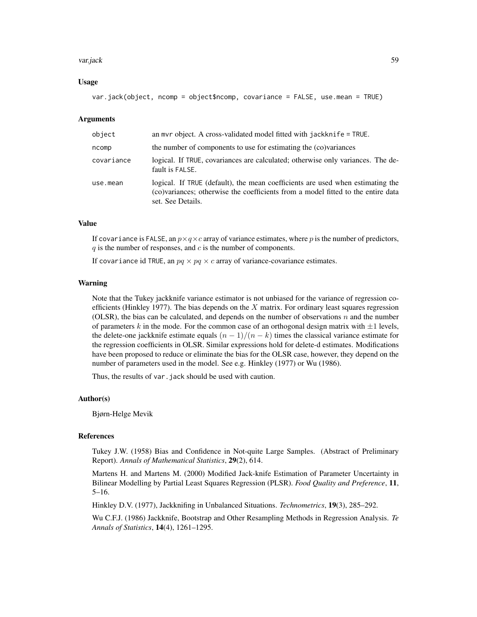#### var.jack 59

#### Usage

```
var.jack(object, ncomp = object$ncomp, covariance = FALSE, use.mean = TRUE)
```
#### Arguments

| object     | an myr object. A cross-validated model fitted with jackknife $=$ TRUE.                                                                                                                  |
|------------|-----------------------------------------------------------------------------------------------------------------------------------------------------------------------------------------|
| ncomp      | the number of components to use for estimating the (co)variances                                                                                                                        |
| covariance | logical. If TRUE, covariances are calculated; otherwise only variances. The de-<br>fault is FALSE.                                                                                      |
| use.mean   | logical. If TRUE (default), the mean coefficients are used when estimating the<br>(co)variances; otherwise the coefficients from a model fitted to the entire data<br>set. See Details. |

## Value

If covariance is FALSE, an  $p \times q \times c$  array of variance estimates, where p is the number of predictors,  $q$  is the number of responses, and  $c$  is the number of components.

If covariance id TRUE, an  $pq \times pq \times c$  array of variance-covariance estimates.

#### Warning

Note that the Tukey jackknife variance estimator is not unbiased for the variance of regression coefficients (Hinkley 1977). The bias depends on the  $X$  matrix. For ordinary least squares regression (OLSR), the bias can be calculated, and depends on the number of observations  $n$  and the number of parameters k in the mode. For the common case of an orthogonal design matrix with  $\pm 1$  levels, the delete-one jackknife estimate equals  $(n - 1)/(n - k)$  times the classical variance estimate for the regression coefficients in OLSR. Similar expressions hold for delete-d estimates. Modifications have been proposed to reduce or eliminate the bias for the OLSR case, however, they depend on the number of parameters used in the model. See e.g. Hinkley (1977) or Wu (1986).

Thus, the results of var. jack should be used with caution.

#### Author(s)

Bjørn-Helge Mevik

## References

Tukey J.W. (1958) Bias and Confidence in Not-quite Large Samples. (Abstract of Preliminary Report). *Annals of Mathematical Statistics*, 29(2), 614.

Martens H. and Martens M. (2000) Modified Jack-knife Estimation of Parameter Uncertainty in Bilinear Modelling by Partial Least Squares Regression (PLSR). *Food Quality and Preference*, 11, 5–16.

Hinkley D.V. (1977), Jackknifing in Unbalanced Situations. *Technometrics*, 19(3), 285–292.

Wu C.F.J. (1986) Jackknife, Bootstrap and Other Resampling Methods in Regression Analysis. *Te Annals of Statistics*, 14(4), 1261–1295.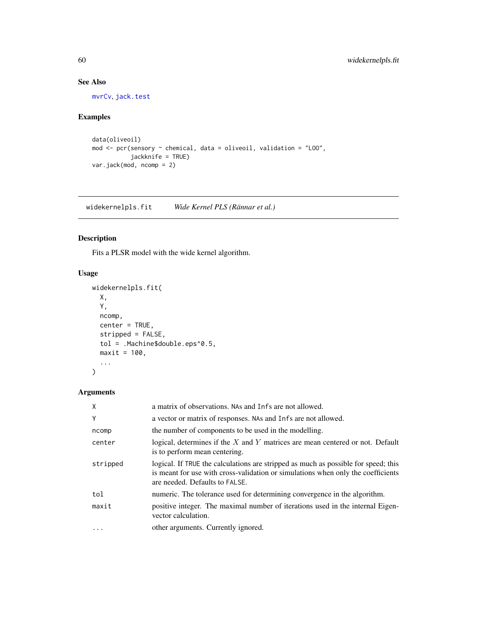## See Also

[mvrCv](#page-26-1), [jack.test](#page-16-1)

## Examples

```
data(oliveoil)
mod <- pcr(sensory ~ chemical, data = oliveoil, validation = "LOO",
          jackknife = TRUE)
var.jack(mod, ncomp = 2)
```
<span id="page-59-1"></span>widekernelpls.fit *Wide Kernel PLS (Rännar et al.)*

## Description

Fits a PLSR model with the wide kernel algorithm.

### Usage

```
widekernelpls.fit(
  X,
  Y,
  ncomp,
  center = TRUE,
  stripped = FALSE,
  tol = .Machine$double.eps^0.5,
  maxit = 100,
  ...
\mathcal{L}
```

| X        | a matrix of observations. NAs and Infs are not allowed.                                                                                                                                                  |
|----------|----------------------------------------------------------------------------------------------------------------------------------------------------------------------------------------------------------|
| Y        | a vector or matrix of responses. NAs and Infs are not allowed.                                                                                                                                           |
| ncomp    | the number of components to be used in the modelling.                                                                                                                                                    |
| center   | logical, determines if the $X$ and $Y$ matrices are mean centered or not. Default<br>is to perform mean centering.                                                                                       |
| stripped | logical. If TRUE the calculations are stripped as much as possible for speed; this<br>is meant for use with cross-validation or simulations when only the coefficients<br>are needed. Defaults to FALSE. |
| tol      | numeric. The tolerance used for determining convergence in the algorithm.                                                                                                                                |
| maxit    | positive integer. The maximal number of iterations used in the internal Eigen-<br>vector calculation.                                                                                                    |
| $\cdots$ | other arguments. Currently ignored.                                                                                                                                                                      |

<span id="page-59-0"></span>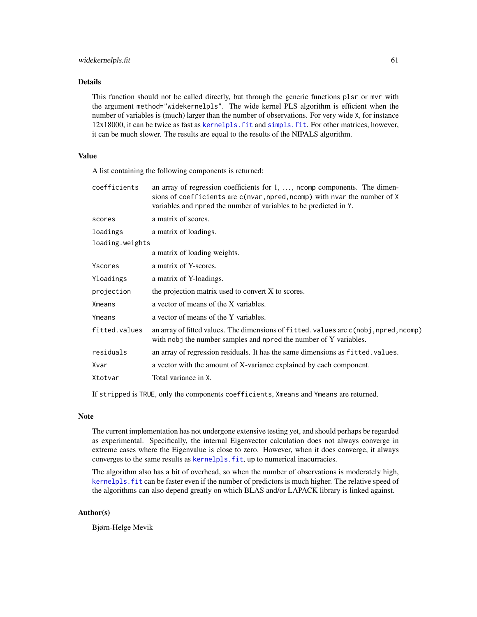## <span id="page-60-0"></span>Details

This function should not be called directly, but through the generic functions plsr or mvr with the argument method="widekernelpls". The wide kernel PLS algorithm is efficient when the number of variables is (much) larger than the number of observations. For very wide X, for instance 12x18000, it can be twice as fast as [kernelpls.fit](#page-18-1) and [simpls.fit](#page-50-1). For other matrices, however, it can be much slower. The results are equal to the results of the NIPALS algorithm.

## Value

A list containing the following components is returned:

| coefficients    | an array of regression coefficients for $1, \ldots$ , noomp components. The dimen-<br>sions of coefficients are c(nvar, npred, ncomp) with nvar the number of X<br>variables and npred the number of variables to be predicted in Y. |
|-----------------|--------------------------------------------------------------------------------------------------------------------------------------------------------------------------------------------------------------------------------------|
| scores          | a matrix of scores.                                                                                                                                                                                                                  |
| loadings        | a matrix of loadings.                                                                                                                                                                                                                |
| loading.weights |                                                                                                                                                                                                                                      |
|                 | a matrix of loading weights.                                                                                                                                                                                                         |
| Yscores         | a matrix of Y-scores.                                                                                                                                                                                                                |
| Yloadings       | a matrix of Y-loadings.                                                                                                                                                                                                              |
| projection      | the projection matrix used to convert X to scores.                                                                                                                                                                                   |
| Xmeans          | a vector of means of the X variables.                                                                                                                                                                                                |
| Ymeans          | a vector of means of the Y variables.                                                                                                                                                                                                |
| fitted.values   | an array of fitted values. The dimensions of fitted values are c(nobj, npred, ncomp)<br>with nobj the number samples and npred the number of Y variables.                                                                            |
| residuals       | an array of regression residuals. It has the same dimensions as fitted. values.                                                                                                                                                      |
| Xvar            | a vector with the amount of X-variance explained by each component.                                                                                                                                                                  |
| Xtotvar         | Total variance in X.                                                                                                                                                                                                                 |
|                 |                                                                                                                                                                                                                                      |

If stripped is TRUE, only the components coefficients, Xmeans and Ymeans are returned.

## Note

The current implementation has not undergone extensive testing yet, and should perhaps be regarded as experimental. Specifically, the internal Eigenvector calculation does not always converge in extreme cases where the Eigenvalue is close to zero. However, when it does converge, it always converges to the same results as kernelpls. fit, up to numerical inacurracies.

The algorithm also has a bit of overhead, so when the number of observations is moderately high, [kernelpls.fit](#page-18-1) can be faster even if the number of predictors is much higher. The relative speed of the algorithms can also depend greatly on which BLAS and/or LAPACK library is linked against.

#### Author(s)

Bjørn-Helge Mevik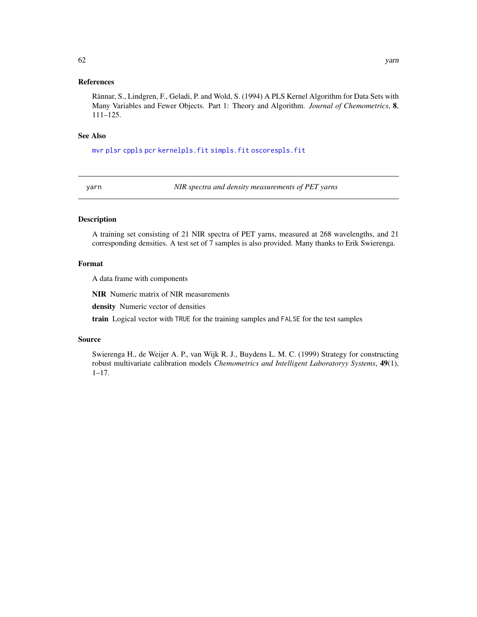## <span id="page-61-0"></span>References

Rännar, S., Lindgren, F., Geladi, P. and Wold, S. (1994) A PLS Kernel Algorithm for Data Sets with Many Variables and Fewer Objects. Part 1: Theory and Algorithm. *Journal of Chemometrics*, 8, 111–125.

#### See Also

[mvr](#page-22-1) [plsr](#page-22-2) [cppls](#page-22-2) [pcr](#page-22-2) [kernelpls.fit](#page-18-1) [simpls.fit](#page-50-1) [oscorespls.fit](#page-32-1)

yarn *NIR spectra and density measurements of PET yarns*

## Description

A training set consisting of 21 NIR spectra of PET yarns, measured at 268 wavelengths, and 21 corresponding densities. A test set of 7 samples is also provided. Many thanks to Erik Swierenga.

#### Format

A data frame with components

NIR Numeric matrix of NIR measurements

density Numeric vector of densities

train Logical vector with TRUE for the training samples and FALSE for the test samples

#### Source

Swierenga H., de Weijer A. P., van Wijk R. J., Buydens L. M. C. (1999) Strategy for constructing robust multivariate calibration models *Chemometrics and Intelligent Laboratoryy Systems*, 49(1), 1–17.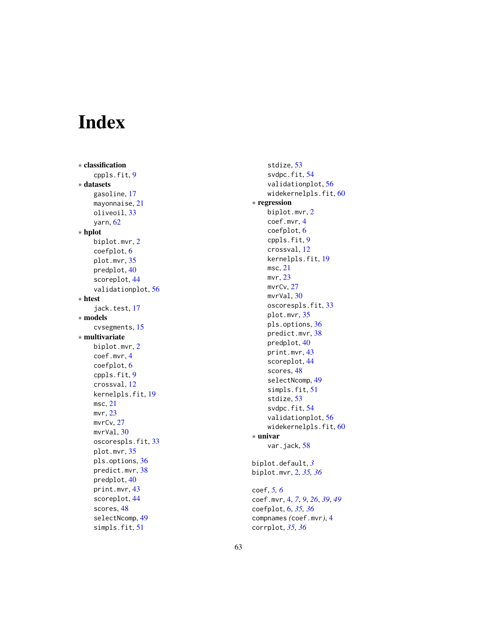# <span id="page-62-0"></span>Index

∗ classification cppls.fit , [9](#page-8-0) ∗ datasets gasoline , [17](#page-16-0) mayonnaise , [21](#page-20-0) oliveoil , [33](#page-32-0) yarn , [62](#page-61-0) ∗ hplot biplot.mvr , [2](#page-1-0) coefplot , [6](#page-5-0) plot.mvr , [35](#page-34-0) predplot , [40](#page-39-0) scoreplot , [44](#page-43-0) validationplot , [56](#page-55-0) ∗ htest jack.test, [17](#page-16-0) ∗ models cvsegments , [15](#page-14-0) ∗ multivariate biplot.mvr , [2](#page-1-0) coef.mvr , [4](#page-3-0) coefplot , [6](#page-5-0) cppls.fit , [9](#page-8-0) crossval , [12](#page-11-0) kernelpls.fit , [19](#page-18-0) msc , [21](#page-20-0) mvr , [23](#page-22-0) mvrCv , [27](#page-26-0) mvrVal, [30](#page-29-0) oscorespls.fit , [33](#page-32-0) plot.mvr , [35](#page-34-0) pls.options , [36](#page-35-0) predict.mvr , [38](#page-37-0) predplot , [40](#page-39-0) print.mvr , [43](#page-42-0) scoreplot , [44](#page-43-0) scores , [48](#page-47-0) selectNcomp , [49](#page-48-0) simpls.fit, [51](#page-50-0)

stdize , [53](#page-52-0) svdpc.fit , [54](#page-53-0) validationplot , [56](#page-55-0) widekerne $\texttt{lpls.fit}, 60$  $\texttt{lpls.fit}, 60$ ∗ regression biplot.mvr , [2](#page-1-0) coef.mvr , [4](#page-3-0) coefplot , [6](#page-5-0) cppls.fit , [9](#page-8-0) crossval , [12](#page-11-0) kernelpls.fit , [19](#page-18-0) msc , [21](#page-20-0) mvr , [23](#page-22-0) mvrCv , [27](#page-26-0) mvrVal,[30](#page-29-0) oscorespls.fit , [33](#page-32-0) plot.mvr , [35](#page-34-0) pls.options , [36](#page-35-0) predict.mvr , [38](#page-37-0) predplot , [40](#page-39-0) print.mvr , [43](#page-42-0) scoreplot , [44](#page-43-0) scores, [48](#page-47-0) selectNcomp , [49](#page-48-0) simpls.fit, [51](#page-50-0) stdize , [53](#page-52-0) svdpc.fit , [54](#page-53-0) validationplot , [56](#page-55-0) widekernelpls.fit, [60](#page-59-0) ∗ univar var.jack, [58](#page-57-0) biplot.default , *[3](#page-2-0)* biplot.mvr , [2](#page-1-0) , *[35](#page-34-0) , [36](#page-35-0)* coef , *[5](#page-4-0) , [6](#page-5-0)* coef.mvr , [4](#page-3-0) , *[7](#page-6-0)* , *[9](#page-8-0)* , *[26](#page-25-0)* , *[39](#page-38-0)* , *[49](#page-48-0)* coefplot , [6](#page-5-0) , *[35](#page-34-0) , [36](#page-35-0)* compnames *(*coef.mvr *)* , [4](#page-3-0)

corrplot , *[35](#page-34-0) , [36](#page-35-0)*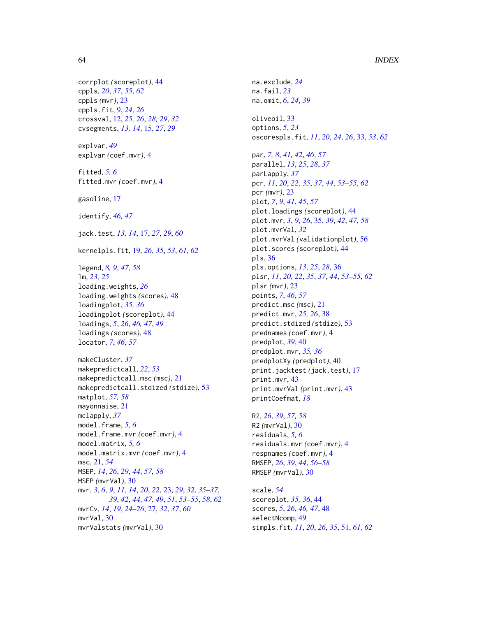## 64 INDEX

corrplot *(*scoreplot*)*, [44](#page-43-0) cppls, *[20](#page-19-0)*, *[37](#page-36-0)*, *[55](#page-54-0)*, *[62](#page-61-0)* cppls *(*mvr*)*, [23](#page-22-0) cppls.fit, [9,](#page-8-0) *[24](#page-23-0)*, *[26](#page-25-0)* crossval, [12,](#page-11-0) *[25,](#page-24-0) [26](#page-25-0)*, *[28,](#page-27-0) [29](#page-28-0)*, *[32](#page-31-0)* cvsegments, *[13,](#page-12-0) [14](#page-13-0)*, [15,](#page-14-0) *[27](#page-26-0)*, *[29](#page-28-0)* explvar, *[49](#page-48-0)* explvar *(*coef.mvr*)*, [4](#page-3-0) fitted, *[5,](#page-4-0) [6](#page-5-0)* fitted.mvr *(*coef.mvr*)*, [4](#page-3-0) gasoline, [17](#page-16-0) identify, *[46,](#page-45-0) [47](#page-46-0)* jack.test, *[13,](#page-12-0) [14](#page-13-0)*, [17,](#page-16-0) *[27](#page-26-0)*, *[29](#page-28-0)*, *[60](#page-59-0)* kernelpls.fit, [19,](#page-18-0) *[26](#page-25-0)*, *[35](#page-34-0)*, *[53](#page-52-0)*, *[61,](#page-60-0) [62](#page-61-0)* legend, *[8,](#page-7-0) [9](#page-8-0)*, *[47](#page-46-0)*, *[58](#page-57-0)* lm, *[23](#page-22-0)*, *[25](#page-24-0)* loading.weights, *[26](#page-25-0)* loading.weights *(*scores*)*, [48](#page-47-0) loadingplot, *[35,](#page-34-0) [36](#page-35-0)* loadingplot *(*scoreplot*)*, [44](#page-43-0) loadings, *[5](#page-4-0)*, *[26](#page-25-0)*, *[46,](#page-45-0) [47](#page-46-0)*, *[49](#page-48-0)* loadings *(*scores*)*, [48](#page-47-0) locator, *[7](#page-6-0)*, *[46](#page-45-0)*, *[57](#page-56-0)* makeCluster, *[37](#page-36-0)* makepredictcall, *[22](#page-21-0)*, *[53](#page-52-0)* makepredictcall.msc *(*msc*)*, [21](#page-20-0) makepredictcall.stdized *(*stdize*)*, [53](#page-52-0) matplot, *[57,](#page-56-0) [58](#page-57-0)* mayonnaise, [21](#page-20-0) mclapply, *[37](#page-36-0)* model.frame, *[5,](#page-4-0) [6](#page-5-0)* model.frame.mvr *(*coef.mvr*)*, [4](#page-3-0) model.matrix, *[5,](#page-4-0) [6](#page-5-0)* model.matrix.mvr *(*coef.mvr*)*, [4](#page-3-0) msc, [21,](#page-20-0) *[54](#page-53-0)* MSEP, *[14](#page-13-0)*, *[26](#page-25-0)*, *[29](#page-28-0)*, *[44](#page-43-0)*, *[57,](#page-56-0) [58](#page-57-0)* MSEP *(*mvrVal*)*, [30](#page-29-0) mvr, *[3](#page-2-0)*, *[6](#page-5-0)*, *[9](#page-8-0)*, *[11](#page-10-0)*, *[14](#page-13-0)*, *[20](#page-19-0)*, *[22](#page-21-0)*, [23,](#page-22-0) *[29](#page-28-0)*, *[32](#page-31-0)*, *[35–](#page-34-0)[37](#page-36-0)*, *[39](#page-38-0)*, *[42](#page-41-0)*, *[44](#page-43-0)*, *[47](#page-46-0)*, *[49](#page-48-0)*, *[51](#page-50-0)*, *[53–](#page-52-0)[55](#page-54-0)*, *[58](#page-57-0)*, *[62](#page-61-0)* mvrCv, *[14](#page-13-0)*, *[19](#page-18-0)*, *[24](#page-23-0)[–26](#page-25-0)*, [27,](#page-26-0) *[32](#page-31-0)*, *[37](#page-36-0)*, *[60](#page-59-0)*

mvrVal, [30](#page-29-0) mvrValstats *(*mvrVal*)*, [30](#page-29-0) na.exclude, *[24](#page-23-0)* na.fail, *[23](#page-22-0)* na.omit, *[6](#page-5-0)*, *[24](#page-23-0)*, *[39](#page-38-0)* oliveoil, [33](#page-32-0) options, *[5](#page-4-0)*, *[23](#page-22-0)* oscorespls.fit, *[11](#page-10-0)*, *[20](#page-19-0)*, *[24](#page-23-0)*, *[26](#page-25-0)*, [33,](#page-32-0) *[53](#page-52-0)*, *[62](#page-61-0)* par, *[7,](#page-6-0) [8](#page-7-0)*, *[41,](#page-40-0) [42](#page-41-0)*, *[46](#page-45-0)*, *[57](#page-56-0)* parallel, *[13](#page-12-0)*, *[25](#page-24-0)*, *[28](#page-27-0)*, *[37](#page-36-0)* parLapply, *[37](#page-36-0)* pcr, *[11](#page-10-0)*, *[20](#page-19-0)*, *[22](#page-21-0)*, *[35](#page-34-0)*, *[37](#page-36-0)*, *[44](#page-43-0)*, *[53](#page-52-0)[–55](#page-54-0)*, *[62](#page-61-0)* pcr *(*mvr*)*, [23](#page-22-0) plot, *[7](#page-6-0)*, *[9](#page-8-0)*, *[41](#page-40-0)*, *[45](#page-44-0)*, *[57](#page-56-0)* plot.loadings *(*scoreplot*)*, [44](#page-43-0) plot.mvr, *[3](#page-2-0)*, *[9](#page-8-0)*, *[26](#page-25-0)*, [35,](#page-34-0) *[39](#page-38-0)*, *[42](#page-41-0)*, *[47](#page-46-0)*, *[58](#page-57-0)* plot.mvrVal, *[32](#page-31-0)* plot.mvrVal *(*validationplot*)*, [56](#page-55-0) plot.scores *(*scoreplot*)*, [44](#page-43-0) pls, [36](#page-35-0) pls.options, *[13](#page-12-0)*, *[25](#page-24-0)*, *[28](#page-27-0)*, [36](#page-35-0) plsr, *[11](#page-10-0)*, *[20](#page-19-0)*, *[22](#page-21-0)*, *[35](#page-34-0)*, *[37](#page-36-0)*, *[44](#page-43-0)*, *[53](#page-52-0)[–55](#page-54-0)*, *[62](#page-61-0)* plsr *(*mvr*)*, [23](#page-22-0) points, *[7](#page-6-0)*, *[46](#page-45-0)*, *[57](#page-56-0)* predict.msc *(*msc*)*, [21](#page-20-0) predict.mvr, *[25,](#page-24-0) [26](#page-25-0)*, [38](#page-37-0) predict.stdized *(*stdize*)*, [53](#page-52-0) prednames *(*coef.mvr*)*, [4](#page-3-0) predplot, *[39](#page-38-0)*, [40](#page-39-0) predplot.mvr, *[35,](#page-34-0) [36](#page-35-0)* predplotXy *(*predplot*)*, [40](#page-39-0) print.jacktest *(*jack.test*)*, [17](#page-16-0) print.mvr, [43](#page-42-0) print.mvrVal *(*print.mvr*)*, [43](#page-42-0) printCoefmat, *[18](#page-17-0)*

R2, *[26](#page-25-0)*, *[39](#page-38-0)*, *[57,](#page-56-0) [58](#page-57-0)* R2 *(*mvrVal*)*, [30](#page-29-0) residuals, *[5,](#page-4-0) [6](#page-5-0)* residuals.mvr *(*coef.mvr*)*, [4](#page-3-0) respnames *(*coef.mvr*)*, [4](#page-3-0) RMSEP, *[26](#page-25-0)*, *[39](#page-38-0)*, *[44](#page-43-0)*, *[56](#page-55-0)[–58](#page-57-0)* RMSEP *(*mvrVal*)*, [30](#page-29-0)

scale, *[54](#page-53-0)* scoreplot, *[35,](#page-34-0) [36](#page-35-0)*, [44](#page-43-0) scores, *[5](#page-4-0)*, *[26](#page-25-0)*, *[46,](#page-45-0) [47](#page-46-0)*, [48](#page-47-0) selectNcomp, [49](#page-48-0) simpls.fit, *[11](#page-10-0)*, *[20](#page-19-0)*, *[26](#page-25-0)*, *[35](#page-34-0)*, [51,](#page-50-0) *[61,](#page-60-0) [62](#page-61-0)*